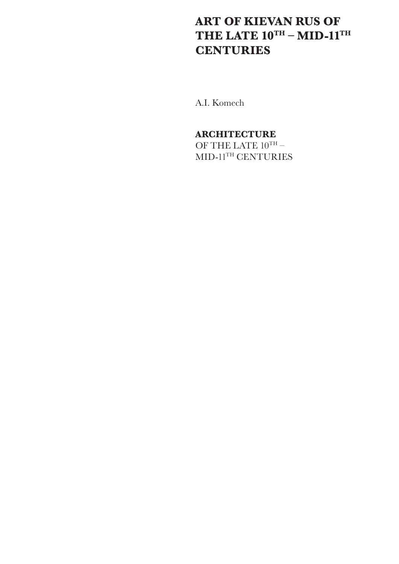# **ART OF KIEVAN RUS OF THE LATE 10TH – MID-11TH CENTURIES**

A.I. Komech

## **ARCHITECTURE**

OF THE LATE  $10^{\text{TH}}$  –  $\text{MID-11}^{\text{TH}}$  CENTURIES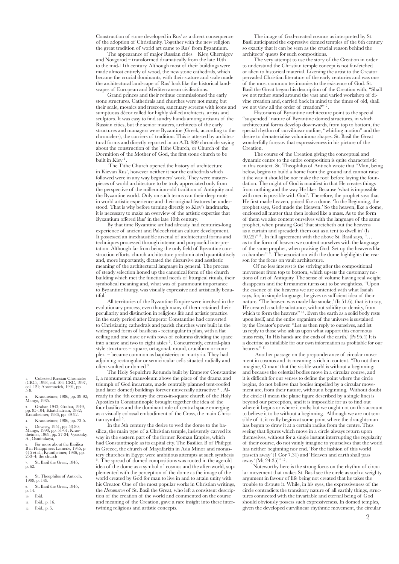Construction of stone developed in Rus' as a direct consequence of the adoption of Christianity. Together with the new religion the great tradition of world art came to Rus' from Byzantium.

The appearance of major Russian cities – Kiev, Chernigov and Novgorod – transformed dramatically from the late 10th to the mid-11th century. Although most of their buildings were made almost entirely of wood, the new stone cathedrals, which became the crucial dominants, with their stature and scale made the architectural landscape of Rus' look like the historical landscapes of European and Mediterranean civilisations.

Grand princes and their retinue commissioned the early stone structures. Cathedrals and churches were not many, but their scale, mosaics and frescoes, sanctuary screens with icons and sumptuous décor called for highly skilled architects, artists and sculptors. It was easy to find sundry hands among artisans of the Russian cities, but the senior masters, architects of the early structures and managers were Byzantine (Greek, according to the chroniclers), the carriers of tradition. This is attested by architectural forms and directly reported in an A.D. 989 chronicle saying about the construction of the Tithe Church, or Church of the Dormition of the Mother of God, the first stone church to be built in Kiev<sup>1</sup>

 The Tithe Church opened the history of architecture in Kievan Rus', however neither it nor the cathedrals which followed were in any way beginners' work. They were masterpieces of world architecture to be truly appreciated only from the perspective of the millennium-old tradition of Antiquity and the Byzantine world. Only on such terms can their deep roots in world artistic experience and their original features be understood. That is why before turning directly to Kiev's landmarks, it is necessary to make an overview of the artistic expertise that Byzantium offered Rus' in the late 10th century.

By that time Byzantine art had already had centuries-long experience of ancient and Paleochristian culture development. It possessed an inexhaustible arsenal of architectural forms and techniques processed through intense and purposeful interpretation. Although far from being the only field of Byzantine construction efforts, church architecture predominated quantitatively and, more importantly, dictated the discursive and aesthetic meaning of the architectural language in general. The process of steady selection honed up the canonical form of the church building which met the functional needs of liturgical rituals, their symbolical meaning and, what was of paramount importance to Byzantine liturgy, was visually expressive and artistically beautiful.

All territories of the Byzantine Empire were involved in the evolutionary process, even though many of them retained their peculiarity and distinction in religious life and artistic practice. In the early period after Emperor Constantine had converted to Christianity, cathedrals and parish churches were built in the widespread form of basilicas - rectangular in plan, with a flat ceiling and one nave or with rows of columns dividing the space into a nave and two to eight aisles 2 . Concurrently, central-plan style structures – square, octagonal, round, cruciform or complex – became common as baptisteries or martyria. They had adjoining rectangular or semicircular cells situated radially and often vaulted or domed 3 .

The Holy Sepulchre Rotunda built by Emperor Constantine I, a monumental mausoleum above the place of the drama and triumph of God incarnate, made centrally planned tent-roofed (and later domed) buildings forever universally attractive  $4$ . Already in the 4th century the cross-in-square church of the Holy Apostles in Constantinople brought together the idea of the four basilicas and the dominant role of central space emerging as a visually colossal embodiment of the Cross, the main Christian symbol<sup>5</sup>

In the 5th century the desire to wed the dome to the basilica, the main type of a Christian temple, insistently carved its way in the eastern part of the former Roman Empire, which had Constantinople as its capital city. The Basilica B of Philippi in Greece, the church of Mayafarkin in Asia Minor and monastery churches in Egypt were ambitious attempts at such synthesis <sup>6</sup>. The spread of domed compositions was rooted in the age-old idea of the dome as a symbol of cosmos and the after-world, supplemented with the perception of the dome as the image of the world created by God for man to live in and to attain unity with his Creator. One of the most popular works in Christian writings, the *Hexameron* of St. Basil the Great, who left a consistent description of the creation of the world and commented on the course and meaning of the Creation, gave a rare insight into these intertwining religious and artistic concepts.

The image of God-created cosmos as interpreted by St. Basil anticipated the expressive domed temples of the 6th century so exactly that it can be seen as the crucial reason behind the architects' quests for such compositions.

The very attempt to use the story of the Creation in order to understand the Christian temple concept is not far-fetched or alien to historical material. Likening the artist to the Creator pervaded Christian literature of the early centuries and was one of the most common testimonies to the existence of God. St. Basil the Great began his description of the Creation with, "Shall we not rather stand around the vast and varied workshop of divine creation and, carried back in mind to the times of old, shall we not view all the order of creation?"<sup>7</sup>

Historians of Byzantine architecture point to the special "suspended" nature of Byzantine domed structures, in which architectural forms develop downwards, from top to bottom, the special rhythm of curvilinear outline, "whirling motion" and the desire to dematerialise voluminous shapes. St. Basil the Great wonderfully foresaw that expressiveness in his picture of the Creation.

The course of the Creation giving the conceptual and dynamic centre to the entire composition is quite characteristic in this context. St. Theophilus of Antioch wrote that "Man, being below, begins to build a home from the ground and cannot raise it the way it should be nor make the roof before laying the foundation. The might of God is manifest in that He creates things from nothing and the way He likes. Because 'what is impossible with men is possible with God'. Therefore, the prophet says that He first made heaven, poised like a dome. 'In the Beginning, the prophet says, God made the Heaven.' So the heaven, like a dome, enclosed all matter that then looked like a mass. As to the form of them we also content ourselves with the language of the same prophet, when praising God 'that stretcheth out the heavens as a curtain and spreadeth them out as a tent to dwell in' (Is 40.22)" 8 . In full agreement with the above St. Basil says, "… as to the form of heaven we content ourselves with the language of the same prophet, when praising God: Set up the heavens like a chamber"  $9$ . The association with the dome highlights the reason for the focus on vault architecture.

Of no less interest is the striving after the compositional movement from top to bottom, which upsets the customary notions of art of Antiquity. The sense of volume having real weight disappears and the firmament turns out to be weightless. "Upon the essence of the heavens we are contented with what Isaiah says, for, in simple language, he gives us sufficient idea of their nature, 'The heaven was made like smoke,' (Is 51.6), that is to say, He created a subtle substance, without solidity or density, from which to form the heavens" <sup>10</sup>. Even the earth as a solid body rests upon itself, and the entire organism of the universe is sustained by the Creator's power. "Let us then reply to ourselves, and let us reply to those who ask us upon what support this enormous mass rests, 'In His hands are the ends of the earth.' (Ps 95.4) It is a doctrine as infallible for our own information as profitable for our hearers."<sup>11</sup>

 Another passage on the preponderance of circular movement in cosmos and its meaning is rich in content. "Do not then imagine, O man! that the visible world is without a beginning; and because the celestial bodies move in a circular course, and it is difficult for our senses to define the point where the circle begins, do not believe that bodies impelled by a circular movement are, from their nature, without a beginning. Without doubt the circle (I mean the plane figure described by a single line) is beyond our perception, and it is impossible for us to find out where it begins or where it ends; but we ought not on this account to believe it to be without a beginning. Although we are not sensible of it, it really begins at some point where the draughtsman has begun to draw it at a certain radius from the centre. Thus seeing that figures which move in a circle always return upon themselves, without for a single instant interrupting the regularity of their course, do not vainly imagine to yourselves that the world has neither beginning nor end. 'For the fashion of this world passeth away' (1 Cor 7.31) and 'Heaven and earth shall pass away' (Mt 24.35)" <sup>12</sup>.

Noteworthy here is the strong focus on the rhythm of circular movement that makes St. Basil see the circle as such a weighty argument in favour of life being not created that he takes the trouble to dispute it. While, in his eyes, the expressiveness of the circle contradicts the transitory nature of all earthly things, structures connected with the invariable and eternal being of God should obviously possess such expressiveness. In domed temples, given the developed curvilinear rhythmic movement, the circular

1. Collected Russian Chronicles (CRC), 1998, col. 106; CRC, 1997, col. 121; Abramovich, 1991, pp. 5-9.

2. Krautheimer, 1986, pp. 39-92; Mango, 1985. 3. Grabar, 1943; Grabar, 1949, pp. 95-104; Khatchatrian, 1982; Krautheimer, 1986, pp. 39-92.

4. Krautheimer, 1986, pp. 73-5.

5. Downey, 1951, pp. 53-80; Mango, 1990, pp. 51-61; Krau- theimer, 1969, pp. 27-34; Vyssotsky, A., Osminskaya,<br>6 For more about the Basilica

6. For more about the Basilica B in Philippi see: Lemerle, 1945, p. 415 et al.; Krautheimer, 1986, pp. 253–4; the church

7. St. Basil the Great, 1845, p. 62.

8. St. Theophilus of Antioch, 1999, p. 149.

St. Basil the Great, 1845,

- $_{\rm p.14}^{\rm p.}$ 10. Ibid.
- 11. Ibid., p. 16.
- 12. Ibid., p. 5.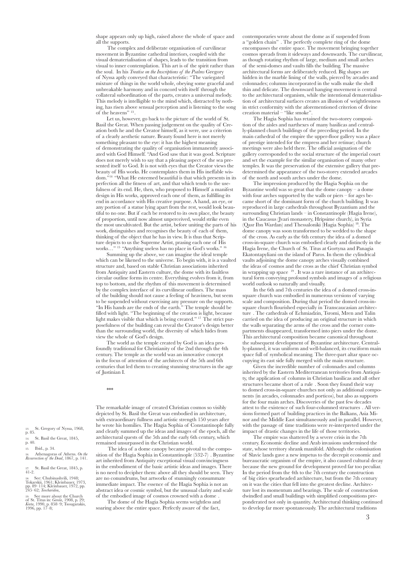shape appears only up high, raised above the whole of space and all the supports.

The complex and deliberate organisation of curvilinear movement in Byzantine cathedral interiors, coupled with the visual dematerialisation of shapes, leads to the transition from visual to inner contemplation. This art is of the spirit rather than the soul. In his *Treatise on the Inscriptions of the Psalms* Gregory of Nyssa aptly conveyed that characteristic: "The variegated mixture of things in the world whole, obeying some graceful and unbreakable harmony and in concord with itself through the collateral subordination of the parts, creates a universal melody. This melody is intelligible to the mind which, distracted by nothing, has risen above sensual perception and is listening to the song of the heavens" 13.

Let us, however, go back to the picture of the world of St. Basil the Great. When passing judgement on the quality of Creation both he and the Creator himself, as it were, use a criterion of a clearly aesthetic nature. Beauty found here is not merely something pleasant to the eye: it has the highest meaning of demonstrating the quality of organisation immanently associated with God Himself. "And God saw that it was good. Scripture does not merely wish to say that a pleasing aspect of the sea presented itself to God. It is not with eyes that the Creator views the beauty of His works. He contemplates them in His ineffable wisdom."14 "What He esteemed beautiful is that which presents in its perfection all the fitness of art, and that which tends to the usefulness of its end. He, then, who proposed to Himself a manifest design in His works, approved each one of them, as fulfilling its end in accordance with His creative purpose. A hand, an eye, or any portion of a statue lying apart from the rest, would look beautiful to no one. But if each be restored to its own place, the beauty of proportion, until now almost unperceived, would strike even the most uncultivated. But the artist, before uniting the parts of his work, distinguishes and recognises the beauty of each of them, thinking of the object that he has in view. It is thus that Scripture depicts to us the Supreme Artist, prasing each one of His works..." <sup>15</sup> "Anything useless has no place in God's works." <sup>16</sup>

Summing up the above, we can imagine the ideal temple which can be likened to the universe. To begin with, it is a vaulted structure and, based on stable Christian associations inherited from Antiquity and Eastern culture, the dome with its faultless circular outline forms its centre. Everything evolves from it, from top to bottom, and the rhythm of this movement is determined by the complex interface of its curvilinear outlines. The mass of the building should not cause a feeling of heaviness, but seem to be suspended without exercising any pressure on the supports. "In His hands are the ends of the earth." The temple should be filled with light. "The beginning of the creation is light, because light makes visible that which is being created." 17 The strict purposefulness of the building can reveal the Creator's design better than the surrounding world, the diversity of which hides from view the whole of God's design.

The world as the temple created by God is an idea profoundly traditional for Christianity of the 2nd through the 4th century. The temple as the world was an innovative concept in the focus of attention of the architects of the 5th and 6th centuries that led them to creating stunning structures in the age of Justinian I.

\*\*\*

The remarkable image of created Christian cosmos so visibly depicted by St. Basil the Great was embodied in architecture, with extraordinary fullness and artistic strength 150 years after he wrote his homilies. The Hagia Sophia of Constantinople fully and clearly summed up the ideas and images of the epoch, all the architectural quests of the 5th and the early 6th century, which remained unsurpassed in the Christian world.

The idea of a dome canopy became pivotal to the composition of the Hagia Sophia in Constantinople (532-7) . Byzantine art inherited from Antiquity exceptional visual convincingness in the embodiment of the basic artistic ideas and images. There is no need to decipher them: above all they should be seen. They are no conundrums, but artworks of stunningly consummate immediate impact. The essence of the Hagia Sophia is not an abstract idea or cosmic symbol, but the unusual clarity and scale of the embodied image of cosmos crowned with a dome

The dome of the Hagia Sophia seems weightless and soaring above the entire space. Perfectly aware of the fact,

contemporaries wrote about the dome as if suspended from a "golden chain" . The perfectly complete ring of the dome encompasses the entire space. The movement bringing together cosmos spreads from it sideways and downwards. The curvilinear, as though rotating rhythm of large, medium and small arches of the semi-domes and vaults fills the building. The massive architectural forms are deliberately reduced. Big shapes are hidden in the marble lining of the walls, pierced by arcades and colonnades; columns incorporated in the walls make the shell thin and delicate. The downward hanging movement is central to the architectural organism, while the intentional dematerialisation of architectural surfaces creates an illusion of weightlessness in strict conformity with the aforementioned criterion of divine creation material – "like smoke".

The Hagia Sophia has retained the two-storey composition of the aisles and narthexes of many basilicas and centrally-planned church buildings of the preceding period. In the main cathedral of the empire the upper-floor gallery was a place of prestige intended for the empress and her retinue; church meetings were also held there. The official assignation of the gallery corresponded to the social structure of the imperial court and set the example for the similar organisation of many other temples. It was the preservation of the extensive gallery that predetermined the appearance of the two-storey extended arcades of the north and south arches under the dome.

The impression produced by the Hagia Sophia on the Byzantine world was so great that the dome canopy – a dome with four arches supported by the walls or piers – for ages became short of the dominant form of the church building. It was reproduced in large cathedrals throughout Byzantium and the surrounding Christian lands – in Constantinople (Hagia Irene). in the Caucasus (Jvari monastery, Hripsime church), in Syria (Qasr Ibn Wardan) and Thessaloniki (Hagia Sophia) 18. The dome canopy was soon transformed to be wedded to the shape of the cross. As early as the 6th century the idea of a domed cross-in-square church was embodied clearly and distinctly in the Hagia Irene, the Church of St. Titus at Gortyna and Panagia Ekatontapyliani on the island of Paros. In them the cylindrical vaults adjoining the dome canopy arches visually combined the ideas of cosmos and the cross as the chief Christian symbol in wrapping up space 19 . It was a rare instance of an architectural form conveying profound symbols and images of a religious world outlook so naturally and visually.

In the 6th and 7th centuries the idea of a domed cross-insquare church was embodied in numerous versions of varying scale and composition. During that period the domed cross-insquare church flourished especially in Transcaucasian architecture . The cathedrals of Echmiadzin, Tsromi, Mren and Talin carried on the idea of producing an original structure in which the walls separating the arms of the cross and the corner compartments disappeared, transformed into piers under the dome. This architectural composition became canonical throughout the subsequent development of Byzantine architecture. Centrally-planned, it was uniform and well-balanced, its cruciform main space full of symbolical meaning. The three-part altar space occupying its east side fully merged with the main structure.

Given the incredible number of colonnades and columns inherited by the Eastern Mediterranean territories from Antiquity, the application of columns in Christian basilicas and all other structures became short of a rule . Soon they found their way to domed cross-in-square churches not only as additional components (in arcades, colonnades and porticos), but also as supports for the four main arches. Discoveries of the past few decades attest to the existence of such four-columned structures . All versions formed part of building practices in the Balkans, Asia Minor and the Middle East simultaneously and in parallel. However, with the passage of time traditions were re-interpreted under the impact of drastic changes in the life of those territories.

The empire was shattered by a severe crisis in the 7th century. Economic decline and Arab invasions undermined the state, whose territory shrank manifold. Although the colonisation of Slavic lands gave a new impetus to the decrepit economic and bureaucratic organism of the empire, it also caused cultural decay because the new ground for development proved far too peculiar. In the period from the 4th to the 7th century the construction of big cities spearheaded architecture, but from the 7th century on it was the cities that fell into the greatest decline. Architecture lost its momentum and bearings. The scale of construction dwindled and small buildings with simplified compositions preponderated not only in quantity. Architectural thinking continued to develop far more spontaneously. The architectural traditions

13. St. Gregory of Nyssa, 1968, p. 85. 14. St. Basil the Great, 1845,

- p. 40. 15. Ibid., p. 34.
- 

16. Athenagoras of Athens. *On the Resurrection of the Dead*, 1867, p. 141.

17. St. Basil the Great, 1845, p. 41-2.

18. See: Chubinashvili, 1948; Tokarskii, 1961; Kleinbauer, 1973, pp. 89–114; Kleinbauer, 1972, pp. 245–62; *Teocharidou*,

19. See more about the Church of St. Titus in: *Gerola*, 1908, p. 29; *Kreta*, 1990, p. 858–9; Tsougarakis, 1996, pp. 17–8;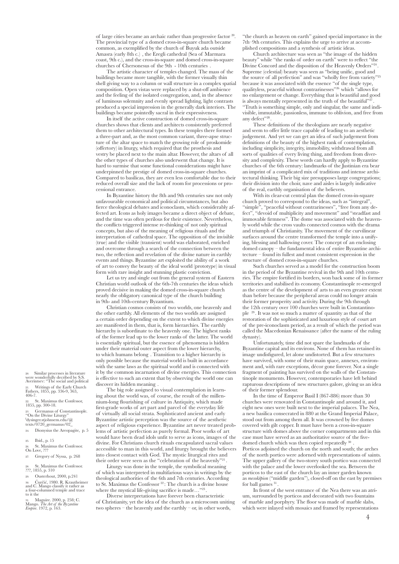of large cities became an archaic rather than progressive factor 20. The provincial type of a domed cross-in-square church became common, as exemplified by the church of Buyuk ada outside Amasra (early 8th c.) , the Eregli cathedral (Sea of Marmara coast, 9th c.), and the cross-in-square and domed cross-in-square churches of Chersonesus of the 9th - 10th centuries .

The artistic character of temples changed. The mass of the buildings became more tangible, with the former visually thin shell giving way to a column or wall structure in a complex spatial composition. Open vistas were replaced by a shut-off ambience and the feeling of the isolated congregation, and, in the absence of luminous solemnity and evenly spread lighting, light contrasts produced a special impression in the generally dark interiors. The buildings became pointedly sacral in their expressiveness.

In itself the active construction of domed cross-in-square churches shows that clients and architects consistently preferred them to other architectural types. In these temples there formed a three-part and, as the most common variant, three-apse structure of the altar space to match the growing role of proskomide (offertory) in liturgy, which required that the prosthesis and vestry be placed next to the main altar. However, the altars of all the other types of churches also underwent that change. It is hard to surmise that some functional considerations might have underpinned the prestige of domed cross-in-square churches. Compared to basilicas, they are even less comfortable due to their reduced overall size and the lack of room for processions or processional entrance.

In Byzantine history the 8th and 9th centuries saw not only unfavourable economical and political circumstances, but also fierce theological debates and iconoclasm, which considerably affected art. Icons as holy images became a direct object of debate, and the time was often perilous for their existence. Nevertheless, the conflicts triggered intense re-thinking of not only spiritual concepts, but also of the meaning of religious rituals and the interpretation of cathedral space. The opposition of the invisible (true) and the visible (transient) world was elaborated, enriched and overcome through a search of the connection between the two, the reflection and revelation of the divine nature in earthly events and things. Byzantine art exploited the ability of a work of art to convey the beauty of the ideal world (prototype) in visual form with rare insight and stunning plastic conviction.

Let us try and single out from the general system of Eastern Christian world outlook of the 6th-7th centuries the ideas which proved decisive in making the domed cross-in-square church nearly the obligatory canonical type of the church building in 9th- and 10th-century Byzantium.

Christian cosmos consists of two worlds, one heavenly and the other earthly. All elements of the two worlds are assigned a certain order depending on the extent to which divine energies are manifested in them, that is, form hierarchies. The earthly hierarchy is subordinate to the heavenly one. The highest ranks of the former lead up to the lower ranks of the latter. The world is essentially spiritual, but the essence of phenomena is hidden under their material outer aspect from the lower hierarchy, to which humans belong . Transition to a higher hierarchy is only possible because the material world is built in accordance with the same laws as the spiritual world and is connected with it by the common incarnation of divine energies. This connection is effective to such an extent that by observing the world one can discover its hidden meaning .

The big role assigned to visual contemplation in learning about the world was, of course, the result of the millennium-long flourishing of culture in Antiquity, which made first-grade works of art part and parcel of the everyday life of virtually all social strata. Sophisticated ancient and early Byzantine artistic perception was the source of the aesthetic aspect of religious experience. Byzantine art never treated problems of artistic perfection as purely formal. Poor works of art would have been dead idols unfit to serve as icons, images of the divine. For Christians church rituals encapsulated sacral values accessible to man in this world, and liturgy brought the believers into closest contact with God. The mystic liturgical rites and their order were seen as the "celebration of the heavenly"<sup>21</sup>.

Liturgy was done in the temple, the symbolical meaning of which was interpreted in multifarious ways in writings by the theological authorities of the 6th and 7th centuries. According to St. Maximus the Confessor<sup>22</sup>: The church is a divine house where the mystical life-giving sacrifice is made..."<sup>23</sup>

Diverse interpretations have forever been characteristic of Christianity, yet the idea of the church as a microcosm uniting two spheres – the heavenly and the earthly – or, in other words,

"the church as heaven on earth" gained special importance in the 7th–9th centuries. This explains the urge to arrive at accomplished compositions and a synthesis of artistic ideas.

Church architecture was seen as "the image of the hidden beauty" while "the ranks of order on earth" were to reflect "the Divine Concord and the disposition of the Heavenly Orders"<sup>24</sup> Supreme (celestial) beauty was seen as "being unific, good and the source of all perfection" and was "wholly free from variety"25 because it was associated with the essence "of the single type, qualityless, peaceful without contrarinesses"26 which "allows for no enlargement or change. Everything that is beautiful and good is always mentally represented in the truth of the beautiful" "Truth is something simple, only and singular, the same and indivisible, immutable, passionless, immune to oblivion, and free from any defect"<sup>28</sup>

These definitions of the theologians are nearly negative and seem to offer little trace capable of leading to an aesthetic judgement. And yet we can get an idea of such judgement from definitions of the beauty of the highest rank of contemplation, including simplicity, integrity, immobility, withdrawal from all sorts of qualities of every living thing, and freedom from diversity and complexity. These words can hardly apply to Byzantine churches of the 6th century: landmarks of the Justinian era bear an imprint of a complicated mix of traditions and intense architectural thinking. Their big size presupposes large congregations; their division into the choir, nave and aisles is largely indicative of the real, earthly organisation of the believers.

With its clear-cut central plan the domed cross-in-square church proved to correspond to the ideas, such as "integral", "simple", "peaceful without contrarinesses", "free from any defect", "devoid of multiplicity and movement" and "steadfast and immovable firmness". The dome was associated with the heavenly world while the cross vaults connected cosmos with the drama and triumph of Christianity. The movement of the curvilinear surfaces around the centre transformed the temple into a unifying, blessing and hallowing cover. The concept of an enclosing domed canopy – the fundamental idea of entire Byzantine architecture – found its fullest and most consistent expression in the structure of domed cross-in-square churches.

Such churches served as a model for the construction boom in the period of the Byzantine revival in the 9th and 10th centuries. The empire fortified its borders, won back some of its former territories and stabilised its economy. Constantinople re-emerged as the centre of the development of arts to an even greater extent than before because the peripheral areas could no longer attain their former prosperity and activity. During the 9th through the 12th century over 100 churches were built in Constantinople 29 . It was not so much a matter of quantity as that of the restoration of the sophisticated and luxurious style of court art of the pre-iconoclasm period, as a result of which the period was called the Macedonian Renaissance (after the name of the ruling dynasty).

Unfortunately, time did not spare the landmarks of the Byzantine capital and its environs. None of them has retained its image undisfigured, let alone undistorted. But a few structures have survived, with some of their main space, annexes, environment and, with rare exceptions, décor gone forever. Not a single fragment of painting has survived on the walls of the Constantinople monuments. However, contemporaries have left behind rapturous descriptions of new structures galore, giving us an idea of their former splendour.

In the time of Emperor Basil I (867-886) more than 30 churches were renovated in Constantinople and around it, and eight new ones were built next to the imperial palaces. The Nea, a new basilica consecrated in 880 at the Grand Imperial Palace, stood out from among them all. It was crowned by five domes covered with gilt copper. It must have been a cross-in-square structure with domes above the corner compartments and in this case must have served as an authoritative source of the fivedomed church which was then copied repeatedly 30 Porticos adjoined the church on the north and south; the arches of the north portico were adorned with representations of saints. The upper gallery of the two-storey south portico was connected with the palace and the lower overlooked the sea. Between the porticos to the east of the church lay an inner garden known as *mesokēpion* ("middle garden"), closed-off on the east by premises for ball games <sup>31</sup>

In front of the west entrance of the Nea there was an atrium, surrounded by porticos and decorated with two fountains of marble and porphyry. The floor was made of marble slabs, which were inlayed with mosaics and framed by representations

20. Similar processes in literature were wonderfully decribed by S.S. Averintsev: "The social and political

21. Writings of the Early Church Fathers, 1855, pp. 336-9, 363, 406-7. St. Maximus the Confessor,

1855, pp. 300-18.

23. Germanus of Constantinople. "On the Divine Liturgy" l dysinger.stjohnsem.edu/@ texts/0720\_germanus/02\_

- 24. Dionysius the Areopagite, p. 5
- 25. Ibid., p. 15

26. St. Maximus the Confessor. On Love, ??? 27. Gregory of Nyssa, p. 268

28. St. Maximus the Confessor. ???, 1855, p. 310

29. Ousterhout,  $2000$ , p.241<br>20. Ćurčić 1980, R. Krautheimer 30. Ćurčić, 1980. R. Krautheimer and C. Mango classify it rather as a four-columned temple and trace to it the

31. Maguire. 2000, p. 258; C. Mango. *The Art of the Byzantine Empire*. 1972, p. 163.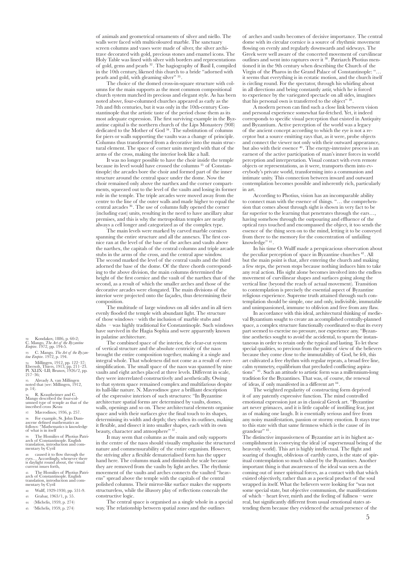of animals and geometrical ornaments of silver and niello. The walls were faced with multicoloured marble. The sanctuary screen columns and vases were made of silver, the silver architrave decorated with gold, precious stones and enamel icons. The Holy Table was lined with silver with borders and representations of gold, gems and pearls 32 . The hagiography of Basil I, compiled in the 10th century, likened this church to a bride "adorned with pearls and gold, with gleaming silver" 33.

The choice of the domed cross-in-square structure with columns for the main supports as the most common compositional church system matched its precious and elegant style. As has been noted above, four-columned churches appeared as early as the 7th and 8th centuries, but it was only in the 10th-century Constantinople that the artistic taste of the period chose them as its most adequate expression. The first surviving example in the Byzantine capital is the northern church of the Lips Monastery (908) dedicated to the Mother of God 34 . The substitution of columns for piers or walls supporting the vaults was a change of principle. Columns thus transformed from a decorative into the main structural element. The space of corner units merged with that of the arms of the cross, making the interior look like a hall.

It was no longer possible to have the choir inside the temple because its level would have crossed the columns 35 of Constantinople) the arcades bore the choir and formed part of the inner structure around the central space under the dome. Now the choir remained only above the narthex and the corner compartments, squeezed out to the level of the vaults and losing its former role in the temple. The triple arcades were moved away from the centre to the line of the outer walls and made higher to equal the central arcades 36 . The use of columns fully opened the corner (including east) units, resulting in the need to have ancillary altar premises, and this is why the metropolitan temples are nearly always a cell longer and categorized as of the complex type.

The main levels were marked by carved marble cornices spanning the entire structure and all the annexes. The first cornice ran at the level of the base of the arches and vaults above the narthex, the capitals of the central columns and triple arcade stubs in the arms of the cross, and the central apse window. The second marked the level of the central vaults and the third adorned the base of the dome. Of the three chords corresponding to the above division, the main columns determined the height of the first cornice and the vault of the narthex that of the second, as a result of which the smaller arches and those of the decorative arcades were elongated. The main divisions of the interior were projected onto the façades, thus determining their composition.

The multitude of large windows on all sides and in all tiers evenly flooded the temple with abundant light. The structure of those windows – with the inclusion of marble stubs and slabs – was highly traditional for Constantinople. Such windows have survived in the Hagia Sophia and were apparently known in palatine architecture.

The combined space of the interior, the clear-cut system of vertical structure and the absolute centricity of the naos brought the entire composition together, making it a single and integral whole. That wholeness did not come as a result of oversimplification. The small space of the naos was spanned by nine vaults and eight arches placed at three levels. Different in scale, they were interrelated constructively and aesthetically. Owing to that system space remained complex and multifarious despite its hall-like nature. N. Mavrodinov gave a brilliant description of the expressive interiors of such structures: "In Byzantine architecture spatial forms are determined by vaults, domes, walls, openings and so on. These architectural elements organise space and with their surfaces give the final touch to its shapes, determining its width and depth; they soften its outlines, making it flexible, and dissect it into smaller shapes, each with its own beauty, character and atmosphere"  $^{\rm 37}.$ 

It may seem that columns as the main and only supports in the centre of the naos should visually emphasise the structured nature and commensurability of the entire organism. However, the striving after a flexible dematerialised form has the upper hand here. The columns mask and diminish the scale because they are removed from the vaults by light arches. The rhythmic movement of the vaults and arches connects the vaulted "heavens" spread above the temple with the capitals of the central polished columns. Their mirror-like surface makes the supports structureless, while the illusory play of reflections conceals the constructive logic.

The central space is organised as a single whole in a special way. The relationship between spatial zones and the outlines

of arches and vaults becomes of decisive importance. The central dome with its circular cornice is a source of rhythmic movement flowing on evenly and regularly downwards and sideways. The Greek were well aware of the concerted movement of curvilinear outlines and went into raptures over it 38 . Patriarch Photius mentioned it in the 9th century when describing the Church of the Virgin of the Pharos in the Grand Palace of Constantinople: "… it seems that everything is in ecstatic motion, and the church itself is circling round. For the spectator, through his whirling about in all directions and being constantly astir, which he is forced to experience by the variegated spectacle on all sides, imagines that his personal own is transferred to the object" 39

A modern person can find such a close link between vision and personal experience somewhat far-fetched. Yet, it indeed corresponds to specific visual perception that existed in Antiquity and Byzantium. Active perception of the world was a legacy of the ancient concept according to which the eye is not a receptor but a source emitting rays that, as it were, probe objects and connect the viewer not only with their outward appearance, but also with their essence 40 . The energy-intensive process is an earnest of the active participation of man's inner forces in world perception and interpretation. Visual contact with even remote objects or representations, as it were, transports them into everybody's private world, transforming into a communion and intimate unity. This connection between inward and outward contemplation becomes possible and inherently rich, particularly in art.

According to Photius, vision has an incomparable ability to connect man with the essence of things. "… the comprehension that comes about through sight is shown in very fact to be far superior to the learning that penetrates through the ears... having somehow through the outpouring and effluence of the optical rays touched and encompassed the object, it too sends the essence of the thing seen on to the mind, letting it to be conveyed from there to the memory for the concentration of unfailing knowledge" <sup>41</sup>.

In his time O. Wulff made a perspicacious observation about the peculiar perception of space in Byzantine churches 42 . All but the main point is that, after entering the church and making a few steps, the person stops because nothing induces him to take any real action. His sight alone becomes involved into the endless movement of curvilinear shapes and surfaces going along the vertical line (beyond the reach of actual movement). Transition to contemplation is precisely the essential aspect of Byzantine religious experience. Supreme truth attained through such contemplation should be simple, one and only, indivisible, immutable and unimpassioned, immune to oblivion and free from any flaw.

In accordance with this ideal, architectural thinking of medieval Byzantium sought to create an accomplished centrally-planned space, a complex structure functionally coordinated so that its every part seemed to exercise no pressure, nor experience any. "Byzantine aesthetics sought to avoid the accidental, to spurn the instantaneous in order to retain only the typical and lasting. To let these special qualities, so precious from the point of view of the believers because they come close to the immutability of God, be felt, this art cultivated a free rhythm with regular repeats, a broad free line, calm symmetry, equilibrium that precluded conflicting aspirations" 43 . Such an attitude to artistic form was a millennium-long tradition for the Byzantines. That was, of course, the renewal of ideas, if only manifested in a different art <sup>44</sup> .

The weighted regularity of constructing form deprived it of any patently expressive function. The mind controlled emotional expression just as in classical Greek art. "Byzantine art never grimaces, and it is little capable of instilling fear, just as of making one laugh. It is essentially serious and free from any noisy manifestation, passion or stormy emotion. It stays true to this state with that same firmness which is the cause of its  $\,$ grandeur" $^{45}$ 

The distinctive impassiveness of Byzantine art is its highest accomplishment in conveying the ideal (of supersensual being of the heavenly world). This art is highly intellectual. The flight and soaring of thought, oblivious of earthly cares, is the state of spiritual contemplation so much valued by the Byzantines. Another important thing is that awareness of the ideal was seen as the coming out of inner spiritual forces, as a contact with that which existed objectively, rather than as a poetical product of the soul wrapped in itself. What the believers were looking for "was not some special state, but objective communion, the manifestations of which – heart fever, mirth and the feeling of fullness – were real, but significantly different from usual emotional states attending them because they evidenced the actual presence of the

32. Kondakov, 1886, p. 60-2; C. Mango. *The Art of the Byzantine Empire*. 1972, pp. 194-5.

33. C. Mango. *The Art of the Byzan- tine Empire*. 1972, p. 194.

34. Millingen, 1912, pp. 122–37; Ebersolt, Thiers, 1913, pp. 211–23. Pl. XLIX–LII; Brunov, 1926/2, pp. 217–36;

35. Already A. van Millingen noted that (see: Millingen, 1912, p. 14).

36. R. Krautheimer and C. Mango described the four-col- umned type of temple as that of the inscribed cross (Krau

37. Mavrodinov, 1936, p. 257.

38. For example, St. John Dam- ascene defined mathematics as follows: "Mathematics is knowledge of what is in itself

39. The Homilies of Photius Patri- arch of Constantinople. English translation, introduction and com- mentary by Cyril

40. caused it to flow through the eyes… Accordingly, whenever there is daylight round about, the visual current issues forth,<br>41. The Homilies of Photius Patri-

41. The Homilies of Photius F<br>arch of Constantinople. English translation, introduction and com- mentary by Cyril

- 42. Wulff, 1929-1930, pp. 531-9.
- 43. Grabar, 1963/1, p. 55. 44. (Michelis, 1959, p. 274)
- Michelis, 1959, p. 274)
- 45. (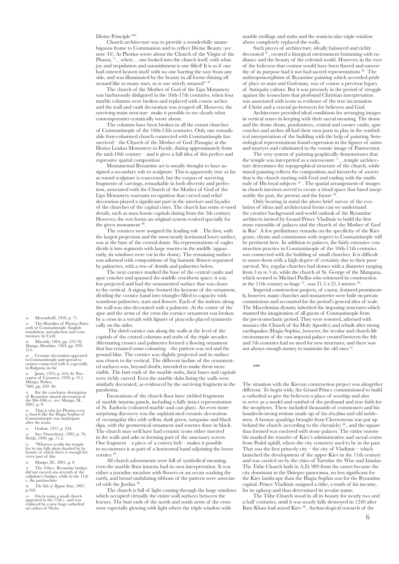## Divine Principle"<sup>46</sup>.

Church architecture was to provide a wonderfully unambiguous frame to Communion and to reflect Divine Beauty (see note 34). As Photius wrote about the Church of the Virgin of the Pharos, "…when… one looked into the church itself, with what joy and trepidation and astonishment is one filled! It is as if one had entered heaven itself with no one barring the way from any side, and was illuminated by the beauty in all forms shining all around like so many stars, so is one utterly amazed"  $47$ 

The church of the Mother of God of the Lips Monastery was barbarously disfigured in the 16th-17th centuries, when four marble columns were broken and replaced with coarse arches and the wall and vault decoration was scraped off. However, the surviving main structure make it possible to see clearly what contemporaries ecstatically wrote about.

The columns have been broken in all the extant churches of Constantinople of the 10th-12th centuries. Only one remarkable four-columned church connected with Constantinople has survived – the Church of the Mother of God (Panagia) at the Hosios Loukas Monastery in Focide, dating approximately from the mid-10th century – and it gives a full idea of this perfect and expressive spatial composition .

Monumental Byzantine art is usually thought to have assigned a secondary role to sculpture. This is apparently true as far as round sculpture is concerned, but the corpus of surviving fragments of carvings, remarkable in both diversity and perfection, associated with the Church of the Mother of God of the Lips Monastery warrants recognition that carved and relief decoration played a significant part in the interiors and façades of the churches of the capital cities. The church has some re-used details, such as naos lesene capitals dating from the 5th century. However, the rest forms an original system evolved specially for the given monument  $48$ .

The cornices were assigned the leading role . The first, with the largest projection and the most nearly horizontal lower surface, was at the base of the central dome. Six representations of eagles divide it into segments with large rosettes in the middle (apparently, six windows were cut in the dome). The remaining surface was adorned with compositions of big fantastic flowers separated by palmettes, with a row of dentils and palmettes below.

The next cornice marked the base of the central vaults and apse conches and spanned the middle cruciform space; it was less projected and had the ornamented surface that was closer to the vertical. A zigzag line formed the keynote of the ornament, dividing the cornice band into triangles filled to capacity with wondrous palmettes, stars and flowers. Each of the indents along the wall was also decorated with a palmette. At the centre of the apse and the arms of the cross the cornice ornament was broken by a cross in a wreath with figures of peacocks placed symmetrically on the sides.

 The third cornice ran along the walls at the level of the capitals of the central columns and stubs of the triple arcades. Alternating crosses and palmettes formed a flowing ornament that has retained some colouring – the pattern was red and the ground blue. The cornice was slightly projected and its surface was closest to the vertical. The different incline of the ornamented surfaces was, beyond doubt, intended to make them more visible. The butt ends of the marble stubs, their bases and capitals were richly carved. Even the marble slabs lining the walls were similarly decorated, as evidenced by the surviving fragment in the parabema.

Excavations of the church floor have yielded fragments of marble intarsia panels, including a fully intact representation of St. Eudocia (coloured marble and cast glass). An even more surprising discovery was the sophisticated ceramic decoration of rectangular tiles with yellow, dark green, turquoise and black slips, with the geometrical ornament and rosettes done in black. The church may well have had ceramic icons either inserted in the walls and arks or forming part of the sanctuary screen. One fragment – a piece of a convex belt – makes it possible to reconstruct it as part of a horizontal band adjoining the lower cornice  $49$ 

All church adornments were full of symbolical meaning, even the marble floor intarsia had its own interpretation. It was either a paradise meadow with flowers or an ocean washing the earth, and broad undulating ribbons of the pattern were associated with the Jordan 50

The church is full of light coming through the huge windows which occupied virtually the entire wall surfaces between the lesenes. The butt ends of the north and south arms of the cross were especially glowing with light where the triple window with

marble treillage and stubs and the semicircular triple window above completely replaced the walls.

Such pieces of architecture, ideally balanced and richly decorated 51 , created a liturgical environment brimming with radiance and the beauty of the celestial world. However, in the eyes of the believers that cosmos would have been flawed and unworthy of its purpose had it not had sacred representations 52 . The anthropomorphism of Byzantine painting which accorded pride of place to man and God-man, was of course a precious legacy of Antiquity culture. But it was precisely in the period of struggle against the iconoclasts that profound Christian interpretation was associated with icons as evidence of the true incarnation of Christ and a crucial go-between for believers and God.

Architecture provided ideal conditions for arranging images in vertical zones in keeping with their sacral meaning. The dome and the dome drum, pendentives, central and corner vaults, apse conches and arches all had their own parts to play in the symbolical interpretation of the building with the help of painting. Soteriological representations found expression in the figures of saints and martyrs and culminated in the cosmic image of Pantocrator.

The very system of painting graphically demonstrates that the temple was interpreted as a microcosm: "…temple architecture determines the topographical structure of the church, while mural painting reflects the composition and hierarchy of society that is the church starting with God and ending with the multitude of His loyal subjects<sup>53</sup>. The spatial arrangement of images in church interiors served to create a ritual space that fused inseparably the past, the present and the future<sup>5</sup>

Only bearing in mind the above brief survey of the evolution of ideas and architectural forms can we understand the creative background and world outlook of the Byzantine architects invited by Grand Prince Vladimir to build the first stone ensemble of palaces and the church of the Mother of God in Rus'. A few preliminary remarks on the specificity of the Kiev genre, clients and commission with respect to Constantinople will be pertinent here. In addition to palaces, the fairly extensive construction practice in Constantinople of the 10th-11th centuries was connected with the building of small churches. It is difficult to assess them with a high degree of certainty due to their poor survival. Yet, regular churches had domes with a diameter ranging from 3 m to 5 m, while the church of St. George of the Mangana, which seemed to Michael Psellus who witnessed its construction in the 11th century so huge  $55$ , was  $21.5 \times 21.5$  metres  $56$ 

Imperial construction projects, of course, featured prominently, however, many churches and monasteries were built on private commissions and accounted for the period's general idea of scale. The Macedonian dynasty inherited the imposing structures which stunned the imagination of all guests of Constantinople from the pre-iconoclastic period. They were restored, adorned with mosaics (the Church of the Holy Apostles) and rebuilt after strong earthquakes (Hagia Sophia), however, the secular and church life environment of the vast imperial palace created between the 4th and 7th centuries had no need for new structures, and there was not always enough money to maintain the old ones 57.

\*\*\*

The situation with the Kievan construction project was altogether different. To begin with, the Grand Prince commissioned to build a cathedral to give the believers a place of worship and also to serve as a model and symbol of the profound and true faith for the neophytes. These included thousands of commoners and his hundreds-strong retinue made up of his *druzhina* and old noblemen. A bronze quadriga brought from Chersonesus was put up behind the church (according to the chronicle)  $58$ , and the square thus formed was enclosed with stone palaces. The entire ensemble marked the transfer of Kiev's administrative and sacral centre from Podol uphill, where the city cemetery used to be in the past. That was the first princely city – the city of Vladimir – which launched the development of the upper Kiev in the 11th century and was carried on by the cities of Yaroslav the Wise and Iziaslav. The Tithe Church built in A.D. 989 from the outset became the city dominant in the Dniepre panorama, no less significant for the Kiev landscape than the Hagia Sophia was for the Byzantine capital. Prince Vladimir assigned a tithe, a tenth of his income, for its upkeep and thus determined its secular name.

The Tithe Church stood in all its beauty for nearly two and a half centuries, until it was nearly fully destroyed in 1240 after Batu Khan had seized Kiev 59 . Archaeological research of the

46. Meyendorff, 1959, p. 71.<br>47. The Homilies of Photius Patri-47. The Homilies of Photius Patri- arch of Constantinople. English

translation, introduction and com- mentary by Cyril

48. Macridy, 1964, pp. 253-78; Mango, Hawkins, 1964, pp. 299- 315.

Ceramic decoration appeared in Constantinople and spread to centres connected with it (especially in Bulgaria) in the

50. Janin, 1953, p. 454; St. Pro- copius of Caesarea, 1939, p. 211; Mango, Parker, 1 960, pp. 239–40.

51. For the conclusive description of Byzantine church decoration of the 9th-10th cc. see: Mango, M., 2001, p. 9.

52. That is why for Photius even a church like the Hagia Sophia of Constantinople was inadequate after the icono

53. Grabar, 1957, p. 234.

54. See: Ousterhout, 1995, p. 76; Webb, 1999, pp. 71-2.

55. "Whoever scolds the temple for its size falls silent dazzled by its beauty of which there is enough for every part of this

56. Mango, M., 2001, p. 8

57. The 10th-c. Byzantine budget did not exceed one-seventh of the caliphate's budget, while in the 11th c. the patriarchate

58. *The Tale of Bygone Years*, 1997,  $p.160$ 

59. On its ruins a small church appeared in the 17th c. and was replaced by a new huge cathedral on orders of Nicho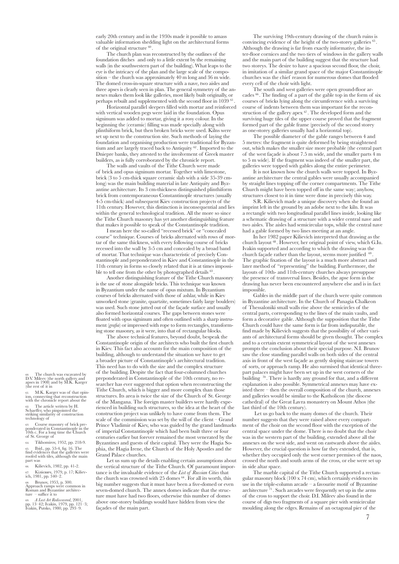early 20th century and in the 1930s made it possible to amass valuable information shedding light on the architectural forms of the original structure  $60$ .

The church plan was reconstructed by the outlines of the foundation ditches and only to a little extent by the remaining walls (in the southwestern part of the building). What leaps to the eye is the intricacy of the plan and the large scale of the composition – the church was approximately 40 m long and 36 m wide. The domed cross-in-square structure with a nave, two aisles and three apses is clearly seen in plan. The general symmetry of the annexes makes them look like galleries, most likely built originally, or perhaps rebuilt and supplemented with the second floor in 1039 <sup>61</sup>

Horizontal parallel sleepers filled with mortar and reinforced with vertical wooden pegs were laid in the foundation. Opus signinum was added to mortar, giving it a rosy colour. In the beginning the (ceramic) filling was made specially along with plinthiform brick, but then broken bricks were used. Kilns were set up next to the construction site. Such methods of laying the foundation and organising production were traditional for Byzantium and are largely traced back to Antiquity 62 . Imported to the Dniepre banks, they attested to the involvement of Greek master builders, as is fully corroborated by the chronicle report.

The walls and vaults of the Tithe Church were made of brick and opus signinum mortar. Together with limestone, brick (3 to 5 cm-thick square ceramic slab with a side 35-39 cmlong) was the main building material in late Antiquity and Byzantine architecture. Its 3 cm-thickness distinguished plinthiform brick from contemporaneous Constantinople structures (usually 4-5 cm-thick) and subsequent Kiev construction projects of the 11th century. However, this distinction is inconsequential and lies within the general technological tradition. All the more so since the Tithe Church masonry has yet another distinguishing feature that makes it possible to speak of the Constantinople tradition.

I mean here the so-called "recessed brick" or "concealed course" technique. Courses of bricks alternated with rows of mortar of the same thickness, with every following course of bricks recessed into the wall by 3-5 cm and concealed by a broad band of mortar. That technique was characteristic of precisely Constantinople and preponderated in Kiev and Constantinople in the 11th century in forms so closely related that it is at times impossible to tell one from the other by photographed details <sup>63</sup>.

Another distinguishing feature of the Tithe Church masonry is the use of stone alongside bricks. This technique was known in Byzantium under the name of opus mixtum. In Byzantium courses of bricks alternated with those of ashlar, while in Kiev unworked stone (granite, quartzite, sometimes fairly large boulders) was used. Such stone jutted out of the façade surface and usually also formed horizontal courses. The gaps between stones were floated with opus signinum and often outlined with a sharp instrument (*grafia*) or impressed with rope to form rectangles, transforming stone masonry, as it were, into that of rectangular blocks.

The above technical features, beyond doubt, bespeak the Constantinople origin of the architects who built the first church in Kiev. This fact also accounts for the main composition of the building, although to understand the situation we have to get a broader picture of Constantinople's architectural tradition. This need has to do with the size and the complex structure of the building. Despite the fact that four-columned churches preponderated in Constantinople of the 10th century, no researcher has ever suggested that option when reconstructing the Tithe Church, which is bigger and more complex than those structures. Its area is twice the size of the Church of St. George of the Mangana. The foreign master builders were hardly experienced in building such structures, so the idea at the heart of the construction project was unlikely to have come from them. The scale of the commission was set by the will of the client – Grand Prince Vladimir of Kiev, who was guided by the grand landmarks of imperial Constantinople which had been built three or four centuries earlier but forever remained the most venerated by the Byzantines and guests of their capital. They were the Hagia Sophia, the Hagia Irene, the Church of the Holy Apostles and the Grand Palace churches.

Let us sum up the details enabling certain assumptions about the vertical structure of the Tithe Church. Of paramount importance is the invaluable evidence of the *List of Russian Cities* that the church was crowned with 25 domes  $64$ . For all its worth, this big number suggests that it must have been a five-domed or even seven-domed church. The annex domes indicate that the structure must have had two floors, otherwise this number of domes above one-storey buildings would have hidden from view the façades of the main part.

The surviving 19th-century drawing of the church ruins is convincing evidence of the height of the two-storey galleries Although the drawing is far from exactly informative, the inter-floor cornices and the two tiers of windows in the gallery walls and the main part of the building suggest that the structure had two storeys. The desire to have a spacious second floor, the choir, in imitation of a similar grand space of the major Constantinople churches was the chief reason for numerous domes that flooded every cell of the choir with light.

The south and west galleries were open ground-floor arcades <sup>66</sup> . The finding of a part of the gable top in the form of six courses of bricks lying along the circumference with a surviving course of indents between them was important for the reconstruction of the gallery apex  $67$ . The developed form and the surviving huge tiles of the upper course proved that the fragment formed part of the gable frame (precisely of the second storey as one-storey galleries usually had a horizontal top).

The possible diameter of the gable ranges between 4 and 5 metres: the fragment is quite deformed by being straightened out, which makes the smaller size more probable (the central part of the west façade is about 7.5 m wide, and the smaller parts 4 m to 5 m wide). If the fragment was indeed of the smaller part, the galleries were topped with gables along the entire perimeter.

It is not known how the church walls were topped. In Byzantine architecture the central gables were usually accompanied by straight lines topping off the corner compartments. The Tithe Church might have been topped off in the same way; anyhow, structures closest to it in time were done in precisely this way.

S.R. Kilievich made a unique discovery when she found an imprint left in the ground by an adobe next to the kiln. It was a rectangle with two longitudinal parallel lines inside, looking like a schematic drawing of a structure with a wider central nave and two aisles. The aisles had semicircular tops, while the central nave had a gable formed by two lines meeting at an angle.

In her 1982 paper Kilievich interpreted that drawing as the church layout 68 . However, her original point of view, which G.Iu. Ivakin supported and according to which the drawing was the church façade rather than the layout, seems more justified <sup>69</sup> The graphic fixation of the layout is a much more abstract and later method of "representing" the building. Furthermore, the layouts of 10th- and 11th-century churches always presuppose the presence of transversal lines. Besides, the apse form in the drawing has never been encountered anywhere else and is in fact impossible.

Gables in the middle part of the church were quite common in Byzantine architecture. In the Church of Panagia Chalkeon of Thessaloniki small walls rise above the semicircles of the central parts, corresponding to the lines of the main vaults, and form a decorative gable. Although the supposition that the Tithe Church could have the same form is far from indisputable, the find made by Kilievich suggests that the possibility of other variants of architectural forms should be given thought. The complex and to a certain extent symmetrical layout of the west annexes prompts the conclusion about their special purpose. N.I. Brunov saw the close standing parallel walls on both sides of the central axis in front of the west façade as gently sloping staircase towers of sorts, or approach ramp. He also surmised that identical threepart palaces might have been set up in the west corners of the building  $\frac{70}{2}$ . There is hardly any ground for that, and a different explanation is also possible. Symmetrical annexes may have existed there – then the overall composition of the church, annexes and galleries would be similar to the Katholicon (the diocese cathedral) of the Great Lavra monastery on Mount Athos (the last third of the 10th century).

 Let us go back to the many domes of the church. Their number suggests that they were raised above every compartment of the choir on the second floor with the exception of the central space under the dome. There is no doubt that the choir was in the western part of the building, extended above all the annexes on the west side, and went on eastwards above the aisles. However, the crucial question is how far they extended, that is, whether they occupied only the west corner premises of the naos, crossed the north and south arms of the cross, or else were set up in side altar space.

The marble capital of the Tithe Church supported a rectangular masonry block (100 x 74 cm), which certainly evidences its use in the triple-column arcade – a favourite motif of Byzantine architecture  $\bar{a}$ <sup>1</sup>. Such arcades were frequently set up in the arms of the cross to support the choir. D.I. Mileev also found in the course of digs two fragments of a square pier with semicircular moulding along the edges. Remains of an octagonal pier of the

60. The church was excavated by D.V. Mileev (the north gallery and apses in 1908) and by M.K. Karger (the rest of it in

61. M.K. Karger was of that opin- ion, connecting that reconstruction with the chronicle report about the

62. The article written by H. Schaeffer, who pinpointed the striking similarity of construction technology of

63. Course masonry of brick pre- ponderated in Constantinople in the 10th c. For a long time the Church of St. George of

64. Tikhomirov, 1952, pp. 218-9.

65. Ibid., pp. 53-4, fig. 16. The find evidences that the galleries were roofed with tiles, although the main part was

66. Kilievich, 1982, pp. 41-2. 67. Кiлiєвич, 1979, p. 17; Kiliev- ich, 1981, pp. 340–2.

68. Brunov, 1953, p. 300. Approach ramps were common in Roman and Byzantine architec- ture – suffice it to

69. *A Lost Art Rediscovered*, 2001, pp. 13–42; Іvakin, 1979, pp. 121–3; Ivakin, Putsko, 1980, pp. 293–9.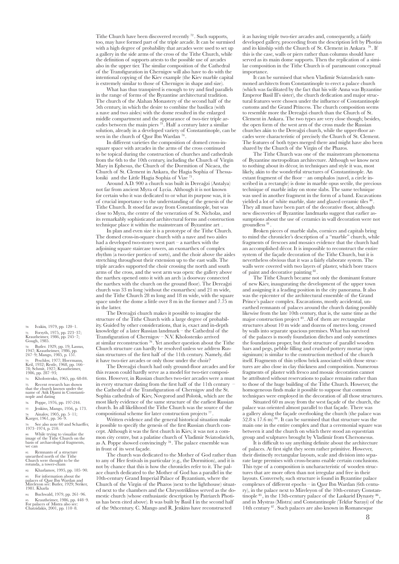Tithe Church have been discovered recently 72 . Such supports, too, may have formed part of the triple arcade. It can be surmised with a high degree of probability that arcades were used to set up a gallery in the side arms of the cross of the Tithe Church, while the definition of supports attests to the possible use of arcades also in the upper tier. The similar composition of the Cathedral of the Transfiguration in Chernigov will also have to do with the intentional copying of the Kiev example (the Kiev marble capital is extremely similar to those of Chernigov in shape and size).

What has thus transpired is enough to try and find parallels in the range of forms of the Byzantine architectural tradition. The church of the Alahan Monastery of the second half of the 5th century, in which the desire to combine the basilica (with a nave and two aisles) with the dome resulted in the enlarged middle compartment and the appearance of two-tier triple arcades between the main piers 73 . Half a century later a similar solution, already in a developed variety of Constantinople, can be seen in the church of Qasr Ibn Wardan<sup>74</sup>.

In different varieties the composition of domed cross-insquare space with arcades in the arms of the cross continued to be topical during the construction of churches and cathedrals from the 6th to the 10th century, including the Church of Virgin Mary in Ephesus, the Church of the Dormition of Nicaea, the Church of St. Clement in Ankara, the Hagia Sophia of Thessaloniki and the Little Hagia Sophia of Vize<sup>75</sup>

Around A.D. 900 a church was built in Dereağzi (Antalya) not far from ancient Myra of Lycia. Although it is not known for certain who it was dedicated to or what its purpose was, it is of crucial importance to the understanding of the genesis of the Tithe Church. It stood far away from Constantinople, but was close to Myra, the centre of the veneration of St. Nicholas, and its remarkably sophisticated architectural forms and construction technique place it within the mainstream of Byzantine art .

In plan and even size it is a prototype of the Tithe Church. The domed cross-in-square church with a nave and two aisles had a developed two-storey west part – a narthex with the adjoining square staircase towers, an exonarthex of complex rhythm (a two-tier portico of sorts), and the choir above the aisles stretching throughout their extension up to the east walls. The triple arcades supported the choir crossing the north and south arms of the cross, and the west arm was open: the gallery above the narthex opened onto it with an arch (a doorway connected the narthex with the church on the ground floor). The Dereağzi church was 33 m long (without the exonarthex) and 21 m wide, and the Tithe Church 28 m long and 18 m wide, with the square space under the dome a little over 8 m in the former and 7.75 m in the latter.

The Dereağzi church makes it possible to imagine the structure of the Tithe Church with a large degree of probability. Guided by other considerations, that is, exact and in-depth knowledge of a later Russian landmark – the Cathedral of the Transfiguration of Chernigov – N.V. Kholostenko arrived at similar reconstruction 76 . Yet another question about the Tithe Church structure can hardly be resolved unless we address Russian structures of the first half of the 11th century. Namely, did it have two-tier arcades or only those under the choir?

The Dereağzi church had only ground-floor arcades and for this reason could hardly serve as a model for two-tier compositions. However, in Russian churches two-tier arcades were a must in every structure dating from the first half of the 11th century – the Cathedral of the Transfiguration of Chernigov and the St. Sophia cathedrals of Kiev, Novgorod and Polotsk, which are the most likely evidence of the same structure of the earliest Russian church. In all likelihood the Tithe Church was the source of the compositional scheme for later construction projects<sup>77</sup>

Written evidence and the general historical situation make it possible to specify the genesis of the first Russian church concept. Although it was the first church in Kiev, it was not a common city centre, but a palatine church of Vladimir Sviatoslavich, as A. Poppe showed convincingly 78 . The palace ensemble was in front of its west façade.

The church was dedicated to the Mother of God rather than to any of Her festivals in particular (e.g., the Dormition), and it is not by chance that this is how the chronicles refer to it. The palace church dedicated to the Mother of God has a parallel in the 10th-century Grand Imperial Palace of Byzantium, where the Church of the Virgin of the Pharos (next to the lighthouse) situated next to the chambers and the Chrysotriklinos served as the domestic church (whose enthusiastic description by Patriarch Photius has been cited above). It was built by Basil I in the second half of the 9thcentury. C. Mango and R. Jenkins have reconstructed

it as having triple two-tier arcades and, consequently, a fairly developed gallery, proceeding from the description left by Photius and its kinship with the Church of St. Clement in Ankara 79 . If this is the case, walls or piers rather than columns should have served as its main dome supports. Then the replication of a similar composition in the Tithe Church is of paramount conceptual importance.

It can be surmised that when Vladimir Sviatoslavich summoned architects from Constantinople to erect a palace church (which was facilitated by the fact that his wife Anna was Byzantine Emperor Basil II's sister), the church dedication and major structural features were chosen under the influence of Constantinople customs and the Grand Princess. The church composition seems to resemble more the Dereağzi church than the Church of St. Clement in Ankara. The two types are very close though; besides, the open form of the west arm of the cross made the Russian churches akin to the Dereağzi church, while the upper-floor arcades were characteristic of precisely the Church of St. Clement. The features of both types merged there and might have also been shared by the Church of the Virgin of the Pharos.

The Tithe Church was one of the mainstream phenomena of Byzantine metropolitan architecture. Although we know next to nothing about its décor, in techniques and style it was, most likely, akin to the wonderful structures of Constantinople. An extant fragment of the floor – an omphalos (navel, a circle inscribed in a rectangle) is done in marble opus sectile, the precious technique of marble inlay on stone slabs. The same technique was used in another fragment in the form of a band. Excavations yielded a lot of white marble, slate and glazed ceramic tiles  $80$ They all must have been part of the decorative floor, although new discoveries of Byzantine landmarks suggest that earlier assumptions about the use of ceramics in wall decoration were not groundless<sup>81</sup>

Broken pieces of marble slabs, cornices and capitals bring to mind the chronicler's description of a "marble" church, while fragments of frescoes and mosaics evidence that the church had an accomplished décor. It is impossible to reconstruct the entire system of the façade decoration of the Tithe Church, but it is nevertheless obvious that it was a fairly elaborate system. The walls were covered with two layers of plaster, which bore traces of paint and decorative painting 82 .

The Tithe Church became not only the dominant feature of new Kiev, inaugurating the development of the upper town and assigning it a leading position in the city panorama. It also was the epicenter of the architectural ensemble of the Grand Prince's palace complex. Excavations, mostly accidental, unearthed remnants of palaces around the church dating possibly likewise from the late 10th century, that is, the same time as the major construction project 83 . All of them are rectangular structures about 10 m wide and dozens of metres long, crossed by walls into separate spacious premises. What has survived of the palaces is mostly foundation ditches and only sometimes the foundations proper, but their structure of parallel wooden bars and pegs, pebble filling and crushed pottery mortar (opus signinum) is similar to the construction method of the church itself. Fragments of thin yellow brick associated with those structures are also close in clay thickness and composition. Numerous fragments of plaster with fresco and mosaic decoration cannot be attributed without reservations to palace remains rather than to those of the huge building of the Tithe Church. However, the homogeneous finds make it possible to suppose that common techniques were employed in the decoration of all those structures.

Situated 60 m away from the west façade of the church, the palace was oriented almost parallel to that façade. There was a gallery along the façade overlooking the church (the palace was  $52.8 \times 17.6$  m)  $^{84}$ . It can be surmised that that structure was the main one in the entire complex and that a ceremonial square was between it and the church on which there stood an equestrian group and sculptures brought by Vladimir from Chersonesus.

It is difficult to say anything definite about the architecture of palaces. At first sight they seem rather primitive. However, their distinctly rectangular layouts, scale and division into separate large premises with cross-beams enable certain conclusions. This type of a composition is uncharacteristic of wooden structures that are more often than not irregular and free in their layouts. Conversely, such structure is found in Byzantine palace complexes of different epochs – in Qasr Ibn Wardan (6th century), in the palace next to Mireleyon of the 10th-century Constantinople  $85$ , in the 13th-century palace of the Laskarid Dynasty  $8$ and in Mystras (Mistra) and Constantinople (Tekfur Sarayi) of the 14th century 87 . Such palaces are also known in Romanesque

70. Іvakin*,* 1979, pp. 120–1.

71. Forsyth, 1975, pp. 223–37; Krautheimer, 1986, pp. 245–7; Gough, 1985.

72. Butler. 1929, pp. 19; Lassus, 1947; Krautheimer, 1986, pp. 247–9; Mango, 1985, p. 151.

73. Peschlov, 1977; Hoermann, Keil, 1932; Restle, 1968, pp. 166– 78; Schmit, 1927; Krautheimer, 1986, pp. 287–93;

74. Kholostenko, 1965, pp. 68-84. 75. Recent research has shown that the church known under the

name of Atik Djami in Constanti- nople and dating 76. Poppe, 1976, pp. 197-244.

77. Jenkins, Mango, 1956, p. 173.

78. Ainalov, 1905, pp. 5–11; Karger, 1961, pp. 56–9.

79. See also note 60 and Schaeffer, 1973–1974, p. 210.

80. While trying to visualize the image of the Tithe Church on the basis of archaeological fragments, we can

81. Remnants of a structure unearthed north of the Tithe Church were thought to be the rotunda, a tower-cham

82. Kharlamov, 1995, pp. 185–90. 83. For information about the palaces of Qasr Ibn Wardan and Mireleyon see: Butler, 1929; Striker, 1981. Kharla

84. Buchwald, 1979, pp. 261–96.

85. Krautheimer, 1986, pp. 448–9. For palaces of Mistra also see: Chatzidakis, 2001, pp. 110–8.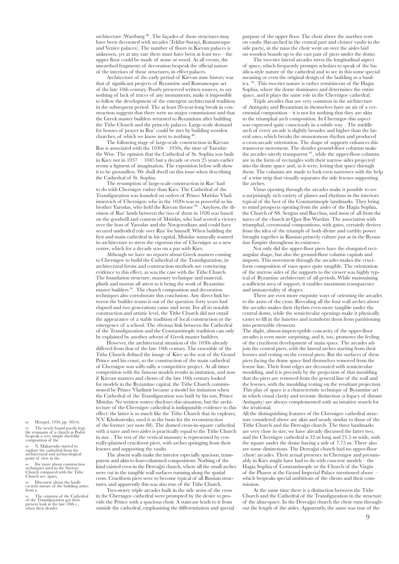architecture (Wartburg  $^{88}$ . The façades of those structures may have been decorated with arcades (Tekfur-Sarayi, Romanesque and Venice palaces). The number of floors in Kievan palaces is unknown, yet at any rate there must have been at least two – the upper floor could be made of stone or wood. At all events, the unearthed fragments of decoration bespeak the official nature of the interiors of those structures, in effect palaces.

Architecture of the early period of Kievan state history was that of significant projects of Byzantine and Romanesque art of the late 10th century. Poorly preserved written sources, to say nothing of lack of traces of any monuments, make it impossible to follow the development of the emergent architectural tradition in the subsequent period. The at least 20-year-long break in construction suggests that there were no major commissions and that the Greek master builders returned to Byzantium after building the Tithe Church and the princely palaces. Large-scale demand for houses of prayer in Rus' could be met by building wooden churches, of which we know next to nothing 89 .

The following stage of large-scale construction in Kievan Rus is associated with the 1030s – 1050s, the time of Yaroslav the Wise. The opinion that the Cathedral of St. Sophia was built in Kiev not in  $1037 - 1045$  but a decade or even  $25$  years earlier seems a figment of imagination. The exposition below will show it to be groundless. We shall dwell on this issue when describing the Cathedral of St. Sophia.

The resumption of large-scale construction in Rus' had to do with Chernigov rather than Kiev. The Cathedral of the Transfiguration was founded on orders of Prince Mstislav Vladimirovich of Chernigov, who in the 1020s was as powerful as his brother Yaroslav, who held the Kievan throne 90 . Anyhow, the division of Rus' lands between the two of them in 1026 was based on the goodwill and consent of Mstislav, who had scored a victory over the host of Yaroslav and the Novgorodians and could have secured undivided rule over Rus' for himself. When building the first and main cathedral in his capital, Mstislav naturally wanted its architecture to stress the vigorous rise of Chernigov as a new centre, which for a decade was on a par with Kiev.

Although we have no reports about Greek masters coming to Chernigov to build the Cathedral of the Transfiguration, its architectural forms and construction methods are convincing evidence to this effect, as was the case with the Tithe Church. The foundation structure, masonry technique and material, plinth and mortar all attest to it being the work of Byzantine master builders 91 . The church composition and decoration techniques also corroborate this conclusion. Any direct link between the builder teams is out of the question: forty years had elapsed and two generations came and went. For all its notable construction and artistic level, the Tithe Church did not entail the appearance of a stable tradition of local construction or the emergence of a school. The obvious link between the Cathedral of the Transfiguration and the Constantinople tradition can only be explained by another advent of Greek master builders.

However, the architectural situation of the 1030s already differed from that of the late 10th century. The ensemble of the Tithe Church defined the image of Kiev as the seat of the Grand Prince and his court, so the construction of the main cathedral of Chernigov was willy-nilly a competitive project. At all times competition with the famous models results in imitation, and now if Kievan masters and clients of the late 10th century looked for models in the Byzantine capital, the Tithe Church commissioned by Prince Vladimir became a model for imitation when the Cathedral of the Transfiguration was built by his son, Prince Mstislav. No written source discloses this situation, but the architecture of the Chernigov cathedral is indisputable evidence to this effect: the latter is so much like the Tithe Church that its explorer, N.V. Kholostenko, used it as the basis for the reconstruction of the former (see note 88). The domed cross-in-square cathedral with a nave and two aisles is practically equal to the Tithe Church in size . The rest of the vertical masonry is represented by centrally-planned cruciform piers, with arches springing from their lesenes and supporting the vaults.

The absent walls make the interior especially spacious, transparent and akin to four-columned compositions. Nothing of the kind existed even in the Dereağzi church, where all the small arches were cut in the tangible wall surfaces running along the spatial cross. Cruciform piers were to become typical of all Russian structures, and apparently this was also true of the Tithe Church.

Two-storey triple arcades built in the side arms of the cross in the Chernigov cathedral were prompted by the desire to provide the Prince with a spacious choir. A staircase leads to it from outside the cathedral, emphasising the differentiation and special purpose of the upper floor. The choir above the narthex rests on vaults (flat-arched in the central part and cloister vaults in the side parts), in the naos the choir went on over the aisles laid on wooden boards up to the east pair of piers under the dome.

The two-tier lateral arcades stress the longitudinal aspect of space, which frequently prompts scholars to speak of the basilica-style nature of the cathedral and to see in this some special meaning or even the original design of the building as a basilica 92 . This two-tier nature is rather reminiscent of the Hagia Sophia, where the dome dominates and determines the entire space, and it plays the same role in the Chernigov cathedral.

Triple arcades that are very common in the architecture of Antiquity and Byzantium in themselves have an air of a ceremonial composition – it is not for nothing that they are akin to the triumphal arch composition. In Chernigov this aspect was expressed quite consciously in a subtle way . The middle arch of every arcade is slightly broader and higher than the lateral ones, which breaks the monotonous rhythm and produced a cross-arcade orientation. The shape of supports enhances this transverse movement. The slender ground-floor columns make the arcades utterly transparent <sup>93</sup>, while the upper-floor columns are in the form of rectangles with their narrow sides projected into the dome space and, as it were, letting that space through them. The columns are made to look even narrower with the help of a trim strip that visually separates the side lesenes supporting the arches.

Vistas opening through the arcades make it possible to see a surprisingly rich variety of planes and rhythms in the interiors typical of the best of the Constantinople landmarks. They bring to mind prospects opening from the aisles of the Hagia Sophia, the Church of SS. Sergius and Bacchus, and most of all from the naves of the church in Qasr Ibn Wardan. The association with triumphal, ceremonial compositions, with gates, certainly derives from the idea of the triumph of both divine and earthly power brought together in Russian princely culture just as in the Byzantine Empire throughout its existence.

Not only did the upper-floor piers have the elongated rectangular shape, but also the ground-floor column capitals and imposts. This movement through the arcades makes the cruciform composition of naos space quite tangible. The orientation of the narrow sides of the supports to the viewer was highly typical of Byzantine architecture of all periods. While maintaining a sufficient area of support, it enables maximum transparence and immateriality of shapes.

There are even more exquisite ways of orienting the arcades to the arms of the cross. Revealing all the four wall arches above the arcades makes their rhythm even more tangible under the central dome, while the semicircular openings make it physically easier to fill in the lunettes and transform them from partitioning into penetrable elements.

The slight, almost imperceptible concavity of the upper-floor arcades is even more surprising, and it, too, promotes the feeling of the cruciform development of main space. The arcades adjoin the central piers, with the lateral arches starting from their lesenes and resting on the central piers. But the surfaces of these piers facing the dome space find themselves removed from the lesene line. Their front edges are decorated with semicircular moulding, and it is precisely by the projection of that moulding that the piers are removed from the general line of the wall and the lesenes, with the moulding resting on the resultant projection. This play of space is a characteristic technique of Byzantine art in which visual clarity and tectonic distinction (a legacy of distant Antiquity) are always complemented with an intuitive search for the irrational.

All the distinguishing features of the Chernigov cathedral structure considered above are akin and nearly similar to those of the Tithe Church and the Dereağzi church. The three landmarks are very close in size; we have already discussed the latter two, and the Chernigov cathedral is 32 m long and 21.5 m wide, with the square under the dome having a side of 7.75 m. There also are some distinctions. The Dereağzi church had no upper-floor (choir) arcades. Their actual presence in Chernigov and presumably in Kiev might have had to do with concrete models – the Hagia Sophia of Constantinople or the Church of the Virgin of the Pharos at the Grand Imperial Palace mentioned above – which bespeaks special ambitions of the clients and their commission.

At the same time there is a distinction between the Tithe Church and the Cathedral of the Transfiguration in the structure of the altar-space. In the Dereağzi church the choir runs throughout the length of the aisles. Apparently, the same was true of the

86. Hempel, 1930, pp. 305-6. 87. The newly found poorly legi- ble remnants of a church at Podol bespeak a very simple shed-like composition of the

88. N. Makarenko started to explore the cathedral from the architectural and archaeological point of view in the

89. For more about construction techniques used in the Saviour Church compared with the Tithe Church see: apses,

90. Discourse about the basili- ca-style nature of the building arises from a

91. The columns of the Cathedral of the Transfiguration got their present look in the late 18th c., when their slender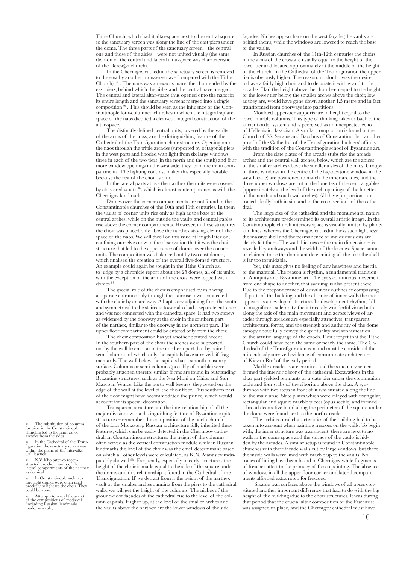Tithe Church, which had it altar-space next to the central square so the sanctuary screen was along the line of the east piers under the dome. The three parts of the sanctuary screen – the central one and those of the aisles – were not united visually (the same division of the central and lateral altar-space was characteristic of the Dereağzi church).

In the Chernigov cathedral the sanctuary screen is removed to the east by another transverse nave (compared with the Tithe Church) 94 . The naos was an exact square, the choir ended by the east piers, behind which the aisles and the central nave merged. The central and lateral altar-space thus opened onto the naos for its entire length and the sanctuary screens merged into a single composition 95 . This should be seen as the influence of the Constantinople four-columned churches in which the integral square space of the naos dictated a clear-cut integral construction of the altar-space.

The distinctly defined central units, covered by the vaults of the arms of the cross, are the distinguishing feature of the Cathedral of the Transfiguration choir structure. Opening onto the naos through the triple arcades (supported by octagonal piers in the west part) and flooded with light from six large windows, three in each of the two tiers (in the north and the south) and four more window openings in the west side, they form the main compartments. The lighting contrast makes this especially notable because the rest of the choir is dim.

In the lateral parts above the narthex the units were covered by cloistered vaults 96 , which is almost contemporaneous with the Chernigov landmark.

Domes over the corner compartments are not found in the Constantinople churches of the 10th and 11th centuries. In them the vaults of corner units rise only as high as the base of the central arches, while on the outside the vaults and central gables rise above the corner compartments. However, in those structures the choir was placed only above the narthex staying clear of the space of the naos. We will dwell on this issue at length later on, confining ourselves now to the observation that it was the choir structure that led to the appearance of domes over the corner units. The composition was balanced out by two east domes, which finalised the creation of the overall five-domed structure. An example could again be sought in the Tithe Church as, to judge by a chronicle report about the 25 domes, all of its units, with the exception of the arms of the cross, were topped with domes  $^\mathrm{97}$ 

The special role of the choir is emphasised by its having a separate entrance only through the staircase tower connected with the choir by an archway. A baptistery adjoining from the south and symmetrical to the staircase tower also had a separate entrance and was not connected with the cathedral space. It had two storeys as evidenced by the doorway at the choir in the southern part of the narthex, similar to the doorway in the northern part. The upper floor compartment could be entered only from the choir.

The choir composition has yet another pointed accent. In the southern part of the choir the arches were supported not by the wall lesenes, as in the northern part, but by paired semi-columns, of which only the capitals have survived, if fragmentarily. The wall below the capitals has a smooth masonry surface. Columns or semi-columns (possibly of marble) were probably attached thereto: similar forms are found in outstanding Byzantine structures, such as the Nea Moni on Chios and San Marco in Venice. Like the north wall lesenes, they rested on the edge of the wall at the level of the choir floor. This southern part of the floor might have accommodated the prince, which would account for its special decoration.

Transparent structure and the interrelationship of all the major divisions was a distinguishing feature of Byzantine capital structures – remember the composition of the north church of the Lips Monastery. Russian architecture fully inherited these features, which can be easily detected in the Chernigov cathedral. In Constantinople structures the height of the columns often served as the vertical construction module while in Russian landmarks the level of the choir was the chief determinant based on which all other levels were calculated, as K.N. Afanasiev indisputably showed 98 . Frequently, especially in early structures, the height of the choir is made equal to the side of the square under the dome, and this relationship is found in the Cathedral of the Transfiguration. If we detract from it the height of the narthex vault or the smaller arches running from the piers to the cathedral walls, we will get the height of the columns. The niches of the ground-floor façades of the cathedral rise to the level of the column capitals. Higher up, at the level of the smaller arches and the vaults above the narthex are the lower windows of the side

façades. Niches appear here on the west façade (the vaults are behind them), while the windows are lowered to reach the base of the vaults.

In Russian churches of the 11th-12th centuries the choirs in the arms of the cross are usually equal to the height of the lower tier and located approximately at the middle of the height of the church. In the Cathedral of the Transfiguration the upper tier is obviously higher. The reason, no doubt, was the desire to have a fairly high choir and to decorate it with grand triple arcades. Had the height above the choir been equal to the height of the lower tier below, the smaller arches above the choir, low as they are, would have gone down another 1.5 metre and in fact transformed from doorways into partitions.

Moulded upper-tier supports are in height equal to the lower marble columns. This type of thinking takes us back to the ancient order system and is perceived as an unexpected echo of Hellenistic classicism. A similar composition is found in the Church of SS. Sergius and Bacchus of Constantinople – another proof of the Cathedral of the Transfiguration builders' affinity with the tradition of the Constantinople school of Byzantine art.

From the slate plates of the arcade stubs rise the arcade arches and the central wall arches, below which are the apices of the smaller arches above the smaller aisles of the naos. Groups of three windows in the centre of the façades (one window in the west façade) are positioned to match the inner arcades, and the three upper windows are cut in the lunettes of the central gables (approximately at the level of the arch openings of the lunettes of the north and south wall arches). All these proportions are traced ideally both in situ and in the cross-sections of the cathedral.

The large size of the cathedral and the monumental nature of its architecture predetermined its overall artistic image. In the Constantinople church interiors space is visually limited by planes and lines, whereas the Chernigov cathedral lacks such lightness: the massive shell and the permanence of major divisions are clearly felt there. The wall thickness – the main dimension – is revealed by archways and the width of the lesenes. Space cannot be claimed to be the dominant determining all the rest: the shell is far too formidable.

Yet, this mass gives no feeling of any heaviness and inertia of the material. The reason is rhythm, a fundamental tradition of Antiquity and Byzantine art. The eye's continuous movement from one shape to another, that swirling, is also present there. Due to the preponderance of curvilinear outlines encompassing all parts of the building and the absence of inner walls the mass appears as a developed structure. Its development rhythm, full of magnificent solemnity, the intricately wonderful vistas both along the axis of the main movement and across (views of arcades through arcades are especially attractive), transparent architectural forms, and the strength and authority of the dome canopy above fully convey the spirituality and sophistication of the artistic language of the epoch. Don't forget that the Tithe Church could have been the same or nearly the same. The Cathedral of the Transfiguration can and must be considered the miraculously survived evidence of consummate architecture of Kievan Rus' of the early period.

Marble arcades, slate cornices and the sanctuary screen formed the interior décor of the cathedral. Excavations in the altar part yielded remnants of a slate pier under the communion table and four stubs of the ciborium above the altar. A synthronos with two steps in front of it was situated along the line of the main apse. Slate plates which were inlayed with triangular, rectangular and square marble pieces (opus sectile) and formed a broad decorative band along the perimeter of the square under the dome were found next to the north arcade.

The architectural characteristics of the building had to be taken into account when painting frescoes on the walls. To begin with, the inner structure was translucent: there are next to no walls in the dome space and the surface of the vaults is hidden by the arcades. A similar setup is found in Constantinople churches with their façade walls cut by large windows, but there the inside walls were lined with marble up to the vaults. No traces of lining have been found in Chernigov while fragments of frescoes attest to the primacy of fresco painting. The absence of windows in all the upper-floor corner and lateral compartments afforded extra room for frescoes.

 Sizable wall surfaces above the windows of all apses constituted another important difference that had to do with the big height of the building (due to the choir structure). It was during that period that the crucial altar composition of the Eucharist was assigned its place, and the Chernigov cathedral must have

92. The substitution of columns for piers in the Constantinople churches led to the removal of arcades from the sides

93. In the Cathedral of the Trans-<br>figuration the sanctuary screen was<br>within the plane of the inter-altar wall lesen

94. N.V. Kholostenko recon- structed the choir vaults of the lateral compartments of the narthex as domical

95. In Constantinople architec- ture light domes were often used precisely to light up the choir. They could be above

Attempts to reveal the secret of the compositions of medieval (including Russian) landmarks made, as a rule,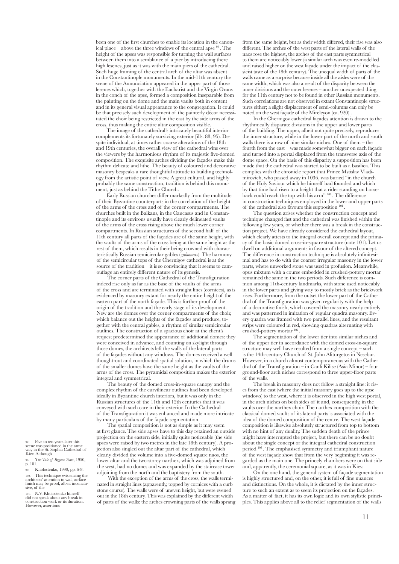been one of the first churches to enable its location in the canonical place – above the three windows of the central apse  $\mathfrak{B}$ . The height of the apses was responsible for turning the wall surfaces between them into a semblance of a pier by introducing there high lesenes, just as it was with the main piers of the cathedral. Such huge framing of the central arch of the altar was absent in the Constantinople monuments. In the mid-11th century the scene of the Annunciation appeared in the upper part of those lesenes which, together with the Eucharist and the Virgin Orans in the conch of the apse, formed a composition inseparable from the painting on the dome and the main vaults both in content and in its general visual appearance to the congregation. It could be that precisely such development of the painterly décor necessitated the choir being restricted in the east by the side arms of the cross, thus making the entire altar composition visible.

The image of the cathedral's intricately beautiful interior complements its fortunately surviving exterior [ills. 88, 95). Despite individual, at times rather coarse alterations of the 18th and 19th centuries, the overall view of the cathedral wins over the viewers by the harmonious rhythm of its majestic five-domed composition. The exquisite arches dividing the façades make this rhythm delicate and lithe. The beauty of coloured and decorative masonry bespeaks a rare thoughtful attitude to building technology from the artistic point of view. A great cultural, and highly probably the same construction, tradition is behind this monument, just as behind the Tithe Church.

Early Russian churches differ markedly from the multitude of their Byzantine counterparts in the correlation of the height of the arms of the cross and of the corner compartments. The churches built in the Balkans, in the Caucasus and in Constantinople and its environs usually have clearly delineated vaults of the arms of the cross rising above the much lower corner compartments. In Russian structures of the second half of the 11th century all parts of the façades are of the same height, with the vaults of the arms of the cross being at the same height as the rest of them, which results in their being crowned with characteristically Russian semicircular gables (*zakomars*). The harmony of the semicircular tops of the Chernigov cathedral is at the source of the tradition – it is so convincing that it seems to camouflage an entirely different nature of its genesis.

The corner parts of the Cathedral of the Transfiguration indeed rise only as far as the base of the vaults of the arms of the cross and are terminated with straight lines (cornices), as is evidenced by masonry extant for nearly the entire height of the eastern part of the north façade. This is further proof of the origin of the tradition and the early stage of its development. New are the domes over the corner compartments of the choir, which balance out the heights of the façades and produce, together with the central gables, a rhythm of similar semicircular outlines. The construction of a spacious choir at the client's request predetermined the appearance of additional domes: they were conceived in advance, and counting on skylight through those domes, the architects left the walls of the lateral parts of the façades without any windows. The domes received a well thought-out and coordinated spatial solution, in which the drums of the smaller domes have the same height as the vaults of the arms of the cross. The pyramidal composition makes the exterior integral and symmetrical.

The beauty of the domed cross-in-square canopy and the complex rhythm of the curvilinear outlines had been developed ideally in Byzantine church interiors, but it was only in the Russian structures of the 11th and 12th centuries that it was conveyed with such care in their exterior. In the Cathedral of the Transfiguration it was enhanced and made more intricate by many particulars of the façade segmentation.

The spatial composition is not as simple as it may seem at first glance. The side apses have to this day retained an outside projection on the eastern side, initially quite noticeable (the side apses were raised by two metres in the late 18th century). A projection also singled out the altar part of the cathedral, which clearly divided the volume into a five-domed square naos, the lower altar and the two-storey narthex, which was adjoined from the west, had no domes and was expanded by the staircase tower adjoining from the north and the baptistery from the south.

With the exception of the arms of the cross, the walls terminated in straight lines (apparently, topped by cornices with a curb stone course). The walls were of uneven height, but were evened out in the 18th century. This was explained by the different width of parts of the walls: the arches crowning parts of the walls sprang from the same height, but as their width differed, their rise was also different. The arches of the west parts of the lateral walls of the naos rose the highest, the arches of the east parts symmetrical to them are noticeably lower (a similar arch was even re-modelled and raised higher on the west façade under the impact of the classicist taste of the 18th century). The unequal width of parts of the walls came as a surprise because inside all the aisles were of the same width, which was also a result of the disparity between the inner divisions and the outer lesenes – another unexpected thing for the 11th century not to be found in other Russian monuments. Such correlations are not observed in extant Constantinople structures either; a slight displacement of semi-columns can only be noted on the west façade of the Mireleyon (ca. 920) .

In the Chernigov cathedral façades attention is drawn to the rhythmically disparate divisions in the upper and lower parts of the building. The upper, albeit not quite precisely, reproduces the inner structure, while in the lower part of the north and south walls there is a row of nine similar niches. One of them – the fourth from the east – was made somewhat bigger on each façade and turned into a portal displaced from the transverse axis of the dome space. On the basis of this disparity a supposition has been made that the cathedral was started to be built as a basilica. This complies with the chronicle report that Prince Mstislav Vladimirovich, who passed away in 1036, was buried "in the church of the Holy Saviour which he himself had founded and which by that time had risen to a height that a rider standing on horseback could reach the top with his arm" 100 . The difference in construction techniques employed in the lower and upper parts of the cathedral also favours this supposition <sup>101</sup>

The question arises whether the construction concept and technique changed fast and the cathedral was finished within the following few years, or whether there was a break in the construction project. We have already considered the cathedral layout, which clearly attests to the integral overall concept and the primacy of the basic domed cross-in-square structure (note 101). Let us dwell on additional arguments in favour of the altered concept. The difference in construction technique is absolutely infinitesimal and has to do with the coarser irregular masonry in the lower parts, where unworked stone was used in profusion. Meanwhile, opus mixtum with a course embedded in crushed-pottery mortar remained the same in the two periods. Such difference is common among 11th-century landmarks, with stone used noticeably in the lower parts and giving way to mostly brick as the brickwork rises. Furthermore, from the outset the lower part of the Cathedral of the Transfiguration was given regularity with the help of a decorative finish, which covered the masonry nearly entirely and was patterned in imitation of regular quadra masonry. Every quadra was framed with two parallel lines, and the resultant strips were coloured in red, showing quadras alternating with crushed-pottery mortar  $102$ 

The segmentation of the lower tier into similar niches and of the upper tier in accordance with the domed cross-in-square structure may well have resulted from a single concept – such is the 14th-century Church of St. John Aliturgetos in Nesebar. However, in a church almost contemporaneous with the Cathedral of the Transfiguration – in Canli Kilise (Asia Minor) – four ground-floor arch niches correspond to three upper-floor parts of the walls.

The break in masonry does not follow a straight line: it rises from the east (where the initial masonry goes up to the apse windows) to the west, where it is observed in the high west portal, in the arch niches on both sides of it and, consequently, in the vaults over the narthex choir. The narthex composition with the classical domed vaults of its lateral parts is associated with the idea of the domed composition of the centre. The west façade composition is likewise absolutely structured from top to bottom with no hint of any duality. The sudden death of the prince might have interrupted the project, but there can be no doubt about the single concept or the integral cathedral construction period 103 . The emphasised symmetry and triumphant nature of the west façade show that from the very beginning it was regarded as the main one. The princely chambers were on that side and, apparently, the ceremonial square, as it was in Kiev.

On the one hand, the general system of façade segmentation is highly structured and, on the other, it is full of fine nuances and distinctions. On the whole, it is dictated by the inner structure to such an extent as to seem its projection on the façades. As a matter of fact, it has its own logic and its own stylistic principles. This applies above all to the relief segmentation of the walls

97. Five to ten years later this scene was positioned in the same way in the St. Sophia Cathedral of Kiev. Although

98. *The Tale of Bygone Years*, 1950,  $\sum_{p}^{I} 101.$ 

99. Kholostenko, 1990, pp. 6-8. 100. This technique evidencing the architects' attention to wall surface finish may be proof, albeit inconclu- sive, of the

101. N.V. Kholostenko himself did not speak about any break in construction work or its duration. However, assertions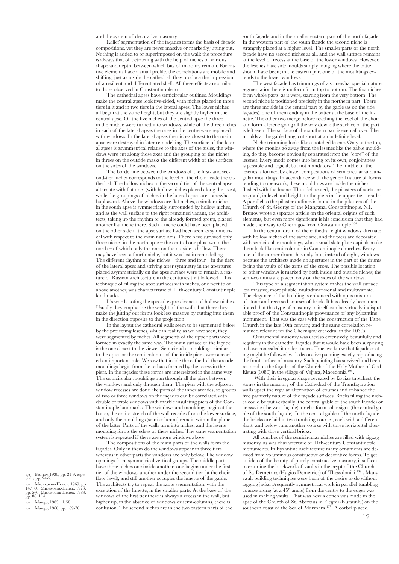and the system of decorative masonry.

Relief segmentation of the façades forms the basis of façade compositions, yet they are never massive or markedly jutting out. Nothing is added to or superimposed on the wall: the procedure is always that of detracting with the help of niches of various shape and depth, between which bits of masonry remain. Formative elements have a small profile, the correlations are mobile and shifting; just as inside the cathedral, they produce the impression of a resilient and differentiated shell. All these effects are similar to those observed in Constantinople art.

The cathedral apses have semicircular outlines. Mouldings make the central apse look five-sided, with niches placed in three tiers in it and in two tiers in the lateral apses. The lower niches all begin at the same height, but they are slightly higher in the central apse. Of the five niches of the central apse the three in the middle were turned into windows, while of the three niches in each of the lateral apses the ones in the centre were replaced with windows. In the lateral apses the niches closest to the main apse were destroyed in later remodelling. The surface of the lateral apses is asymmetrical relative to the axes of the aisles, the windows were cut along those axes and the grouping of the niches in threes on the outside masks the different width of the surfaces on the sides of the windows.

The borderline between the windows of the first- and second-tier niches corresponds to the level of the choir inside the cathedral. The hollow niches in the second tier of the central apse alternate with flat ones (with hollow niches placed along the axes), while the groupings of niches in the lateral apses are somewhat haphazard. Above the windows are flat niches, a similar niche in the south apse is symmetrically surrounded by hollow niches, and as the wall surface to the right remained vacant, the architects, taking up the rhythm of the already formed group, placed another flat niche there. Such a niche could have been placed on the other side if the apse surface had been seen as symmetrical with respect to the main nave axis. There have survived only three niches in the north apse – the central one plus two to the north – of which only the one on the outside is hollow. There may have been a fourth niche, but it was lost in remodelling. The different rhythm of the niches – three and four – in the tiers of the lateral apses and striving after symmetry in the apertures placed asymmetrically on the apse surface were to remain a feature of Russian architecture in the centuries that followed. This technique of filling the apse surfaces with niches, one next to or above another, was characteristic of 11th-century Constantinople landmarks.

It's worth noting the special expressiveness of hollow niches. Usually they emphasise the weight of the walls, but there they make the jutting out forms look less massive by cutting into them in the direction opposite to the projection.

In the layout the cathedral walls seem to be segmented below by the projecting lesenes, while in reality, as we have seen, they were segmented by niches. All segments of the upper parts were formed in exactly the same way. The main surface of the facade is the one closest to the viewer. Semicircular mouldings, similar to the apses or the semi-columns of the inside piers, were accorded an important role. We saw that inside the cathedral the arcade mouldings begin from the setback formed by the recess in the piers. In the façades these forms are interrelated in the same way. The semicircular mouldings run through all the piers between the windows and only through them. The piers with the adjacent window recesses are done like piers of the inner arcades, so groups of two or three windows on the façades can be correlated with double or triple windows with marble insulating piers of the Constantinople landmarks. The windows and mouldings begin at the batter, the entire stretch of the wall recedes from the lower surface, and only the mouldings (semi-columns) remain within the plane of the latter. Parts of the walls turn into niches, and the lesene moulding forms the edges of these niches. The same segmentation system is repeated if there are more windows above.

The compositions of the main parts of the walls form the façades. Only in them do the windows appear in three tiers whereas in other parts the windows are only below. The window openings form symmetrical vertical groups. The middle parts have three niches one inside another: one begins under the first tier of the windows, another under the second tier (at the choir floor level), and still another occupies the lunette of the gable. The architects try to repeat the same segmentation, with the exception of the lunette, in the smaller parts. At the base of the windows of the first tier there is always a recess in the wall, but higher up, in the absence of windows or semi-columns, there is confusion. The second niches are in the two eastern parts of the

south façade and in the smaller eastern part of the north façade. In the western part of the south façade the second niche is strangely placed at a higher level. The smaller parts of the north façade have no second niches at all, and the wall surface remains at the level of recess at the base of the lower windows. However, the lesenes have side moulds simply hanging where the batter should have been; in the eastern part one of the mouldings extends to the lower windows.

The west façade has trimmings of a somewhat special nature: segmentation here is uniform from top to bottom. The first niches form whole parts, as it were, starting from the very bottom. The second niche is positioned precisely in the northern part. There are three moulds in the central part by the gable (as on the side façades), one of them ending in the batter at the base of the lunette. The other two merge before reaching the level of the choir and form a lesene going all the way down; the surface of the part is left even. The surface of the southern part is even all over. The moulds at the gable hang, cut short at an indefinite level.

Niche trimming looks like a notched lesene. Only at the top, where the moulds go away from the lesenes like the gable moulding, do they become obviously separated from the "core" of the lesenes. Every motif comes into being on its own, conjointness is possible and logical, but not mandatory. The middle of the lesenes is formed by cluster compositions of semicircular and angular mouldings. In accordance with the general nature of forms tending to openwork, these mouldings are inside the niches, flushed with the lesene. Thus delineated, the pilasters of sorts correspond, in level and height, to the piers in the upper-tier arcades. A parallel to the pilaster outlines is found in the pilasters of the Church of St. George of the Mangana, Constantinople. N.I. Brunov wrote a separate article on the oriental origins of such elements, but even more significant is his conclusion that they had made their way to Chernigov from Constantinople  $^{104}$ 

In the central drum of the cathedral eight windows alternate with hollow niches of the same size, and the piers are decorated with semicircular mouldings, whose small slate plate capitals make them look like semi-columns in Contantinople churches. Every one of the corner drums has only four, instead of eight, windows because the architects made no apertures in the part of the drums facing the vaults of the arms of the cross. The possible location of other windows is marked by both inside and outside niches; the semi-columns are placed only on the sides of the windows.

This type of a segmentation system makes the wall surface less massive, more pliable, multidimensional and multivariate. The elegance of the building is enhanced with opus mixtum of stone and recessed courses of brick. It has already been mentioned that this type of masonry in itself can be virtually indisputable proof of the Constantinople provenance of any Byzantine monument. That was the case with the construction of the Tithe Church in the late 10th century, and the same correlation remained relevant for the Chernigov cathedral in the 1030s.

Ornamental masonry was used so extensively, beautifully and regularly in the cathedral façades that it would have been surprising to have concealed it under stucco. True, we know that façade coating might be followed with decorative painting exactly reproducing the front surface of masonry. Such painting has survived and been restored on the façades of the Church of the Holy Mother of God Eleusa (1080) in the village of Veljusa, Macedonia<sup>105</sup>

 With their irregular shape revealed by fasciae (notches), the stones in the masonry of the Cathedral of the Transfiguration walls upset the regular alternation of courses and enhance the free painterly nature of the façade surfaces. Bricks filling the niches could be put vertically (the central gable of the south façade) or crosswise (the west façade), or else form solar signs (the central gable of the south façade). In the central gable of the north façade the bricks are laid in two tumbling courses, each with a different slant, and below runs another course with three horizontal alternating with three vertical bricks.

All conches of the semicircular niches are filled with zigzag masonry, as was characteristic of 11th-century Constantinople monuments. In Byzantine architecture many ornaments are derived from voluminous constructive or decorative forms. To get an idea of the beauty of purely constructive masonry, it suffices to examine the brickwork of vaults in the crypt of the Church of St. Demetrios (Hagios Demetrios) of Thessaloniki 106 . Many vault building techniques were born of the desire to do without lagging jacks. Frequently symmetrical work in parallel tumbling courses rising (at a 45° angle) from the centre to the edges was used in making vaults. That was how a conch was made in the apse of the Church of St. Abercius in Elegmi (Kursunlu) on the southern coast of the Sea of Marmara 107. A corbel placed

102. Brunov, 1930, pp. 21-9, espe- cially pp. 24-5.

103. Миљковик-Пепек, 1969, pp. 147–60; Миљковик-Пепек, 1973, pp. 5–6; Миљковик-Пeпек, 1983, pp. 86–114;

104. Mango, 1985, ill. 58.

105. Mango, 1968, pp. 169-76.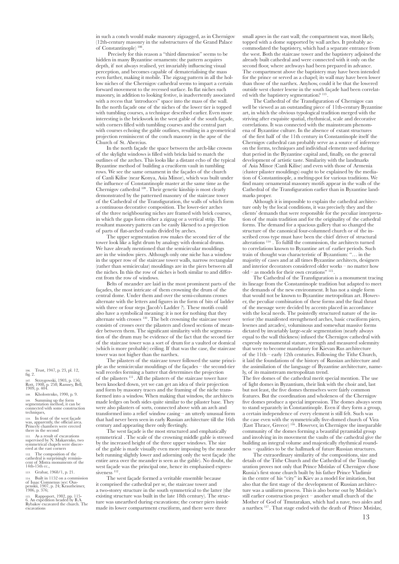in such a conch would make masonry zigzagged, as in Chernigov (12th-century masonry in the substructures of the Grand Palace of Constantinople) 108 .

 Precisely for this reason a "third dimension" seems to be hidden in many Byzantine ornaments: the pattern acquires depth, if not always realised, yet invariably influencing visual perception, and becomes capable of dematerialising the mass even further, making it mobile. The zigzag pattern in all the hollow niches of the Chernigov cathedral seems to impart a certain forward movement to the recessed surface. In flat niches such masonry, in addition to looking festive, is inadvertently associated with a recess that 'introduces" space into the mass of the wall. In the north façade one of the niches of the lower tier is topped with tumbling courses, a technique described earlier. Even more interesting is the brickwork in the west gable of the south façade, with corners filled with tumbling courses and the central part with courses echoing the gable outlines, resulting in a geometrical projection reminiscent of the conch masonry in the apse of the Church of St. Abercius.

In the north façade the space between the arch-like crowns of the skylight windows is filled with bricks laid to match the outlines of the arches. This looks like a distant echo of the typical Byzantine method of building a cruciform vault in tumbling rows. We see the same ornament in the façades of the church of Canli Kilise (near Konya, Asia Minor), which was built under the influence of Constantinople master at the same time as the Chernigov cathedral 109 . Their genetic kinship is most clearly demonstrated by the patterned masonry of the staircase tower of the Cathedral of the Transfiguration, the walls of which form a continuous decorative composition. The lower-tier arches of the three neighbouring niches are framed with brick courses, in which the gaps form either a zigzag or a vertical strip. The resultant masonry pattern can be easily likened to a projection of parts of flat-arched vaults divided by arches.

The upper segmentation row makes the second tier of the tower look like a light drum by analogy with domical drums. We have already mentioned that the semicircular mouldings are in the window piers. Although only one niche has a window in the upper row of the staircase tower walls, narrow rectangular (rather than semicircular) mouldings are in the piers between all the niches. In this the row of niches is both similar to and different from the row of windows.

Belts of meander are laid in the most prominent parts of the façades, the most intricate of them crowning the drum of the central dome. Under them and over the semi-columns crosses alternate with the letters and figures in the form of bits of ladder with three or four steps (Jacob's Ladder ?). These motifs could also have a symbolical meaning: it is not for nothing that they alternate with crosses 110 . The belt crowning the staircase tower consists of crosses over the pilasters and closed sections of meander between them. The significant similarity with the segmentation of the drum may be evidence of the fact that the second tier of the staircase tower was a sort of drum for a vaulted or domical (which is more probable) ceiling. If that was the case, the staircase tower was not higher than the narthex.

The pilasters of the staircase tower followed the same principle as the semicircular mouldings of the façades – the second-tier wall recedes forming a batter that determines the projection of the pilasters 111 . All the pilasters of the staircase tower have been knocked down, yet we can get an idea of their projection and form by masonry traces and the framing of the niche transformed into a window. When making that window, the architects made ledges on both sides quite similar to the pilaster base. They were also pilasters of sorts, connected above with an arch and transformed into a relief window casing – an utterly unusual form that had never been seen in early Russian architecture till the 16th century and appearing there only fleetingly.

The west façade is the most structured and emphatically symmetrical . The scale of the crowning middle gable is stressed by the increased height of the three upper windows. The size of the gable is made visually even more imposing by the meander belt running slightly lower and adorning only the west façade (the entire area over the meander is seen as the gable). No doubt, the west façade was the principal one, hence its emphasised expressiveness 112 .

The west façade formed a veritable ensemble because it comprised the cathedral per se, the staircase tower and a two-storey structure in the south symmetrical to the latter (the existing structure was built in the late 18th century). The structure was unearthed during excavations; the corner piers inside made its lower compartment cruciform, and there were three

small apses in the east wall; the compartment was, most likely, topped with a dome supported by wall arches. It probably accommodated the baptistery, which had a separate entrance from the west. Both the staircase tower and the baptistery adjoined the already built cathedral and were connected with it only on the second floor, where archways had been prepared in advance. The compartment above the baptistery may have been intended for the prince or served as a chapel; its wall may have been lower than those of the narthex. Anyhow, could it be that the lowered outside west cluster lesene in the south façade had been correlated with the baptistery segmentation? 113

The Cathedral of the Transfiguration of Chernigov can well be viewed as an outstanding piece of 11th-century Byzantine art, in which the obvious typological tradition merged with the striving after exquisite spatial, rhythmical, scale and decorative correlations. It was connected with the mainstream phenomena of Byzantine culture. In the absence of extant structures of the first half of the 11th century in Constantinople itself the Chernigov cathedral can probably serve as a source of inference on the forms, techniques and individual elements used during that period in the Byzantine capital and, finally, on the general development of artistic taste. Similarity with the landmarks of Asia Minor (Canli Kilise) and even with those of Armenia (cluster pilaster mouldings) ought to be explained by the mediation of Constantinople, a melting-pot for various traditions. We find many ornamental masonry motifs appear in the walls of the Cathedral of the Transfiguration earlier than in Byzantine landmarks proper.

Although it is impossible to explain the cathedral architecture only by the local conditions, it was precisely they and the clients' demands that were responsible for the peculiar interpretation of the main tradition and for the originality of the cathedral forms. The demand for a spacious gallery that so changed the structure of the canonical four-columned church or of the inscribed cross type must have been the chief driver of structural alterations 114  . To fulfill the commission, the architects turned to correlations known to Byzantine art of earlier periods. Such train of thought was characteristic of Byzantium: "… in the majority of cases and at all times Byzantine architects, designers and interior decorators considered older works – no matter how old – as models for their own creations" 115 .

The Cathedral of the Transfiguration is a monument tracing its lineage from the Constantinople tradition but adapted to meet the demands of the new environment. It has not a single form that would not be known to Byzantine metropolitan art. However, the peculiar combination of these forms and the final thrust of the message were decided by accents placed in accordance with the local needs. The pointedly structured nature of the interior (the manifested strengthened arches, basic cruciform piers, lesenes and arcades), voluminous and somewhat massive forms dictated by invariably large-scale segmentation (nearly always equal to the wall thickness) infused the Chernigov cathedral with expressly monumental stature, strength and measured solemnity that were to become mandatory for Kievan Rus architecture of the 11th – early 12th centuries. Following the Tithe Church, it laid the foundations of the history of Russian architecture and the assimilation of the language of Byzantine architecture, namely, of its mainstream metropolitan trend.

The five domes of the cathedral merit special mention. The use of light domes in Byzantium, their link with the choir and, last but not least, the five domes themselves were fairly common features. But the coordination and wholeness of the Chernigov five domes produce a special impression. The domes always seem to stand separately in Constantinople. Even if they form a group, a certain independence of every element is still felt. Such was the case even with the symmetrically five-domed church of Vira (East Thrace, Greece) 116 . However, in Chernigov the inseparable community of the domes forming a beautiful pyramidal group and involving in its movement the vaults of the cathedral give the building an integral volume and majestically rhythmical round-- qualities to be the hallmark of future Russian structures.

The extraordinary similarity of the compositions, size and details of the Tithe Church and the Cathedral of the Transfiguration proves not only that Prince Mstislav of Chernigov chose Russia's first stone church built by his father Prince Vladimir in the centre of his "city" in Kiev as a model for imitation, but also that the first stage of the development of Russian architecture was a uniform process. This is also borne out by Mstislav's still earlier construction project – another small church of the Mother of God of Tmutarakan, which had a nave, two aisles and a narthex 117 . That stage ended with the death of Prince Mstislav,

106. Trust, 1947, p. 23, pl. 12, fig. 2.

107. Strzygowski, 1903, p. 156; Rott, 1908, p. 258; Ramsey, Bell, 1909, p. 404.

108. Kholostenko, 1990, p. 9. 109. Summing up the form segmentation method, it can be

connected with some construction techniques, 110. In front of the west façade

was, apparently, the official area. Princely chambers were erected there in the second

111. As a result of excavations supervised by N. Makarenko, two symmetrical chapels were discov- ered at the east corners

112. The composition of the cathedral is surprisingly reminis- cent of Mistra monuments of the 14th-15th cc.,

113. Grabar, 1968/1, p. 21.

114. Built in 1152 on a commission of Isaac Comnenus (see: Ous- penskii, 1907, p. 24; Krautheimer, 1986, p. 376;

115. Rappoport, 1982, pp. 115- 6. An expedition headed by B.A. Rybakov excavated the church. The excavations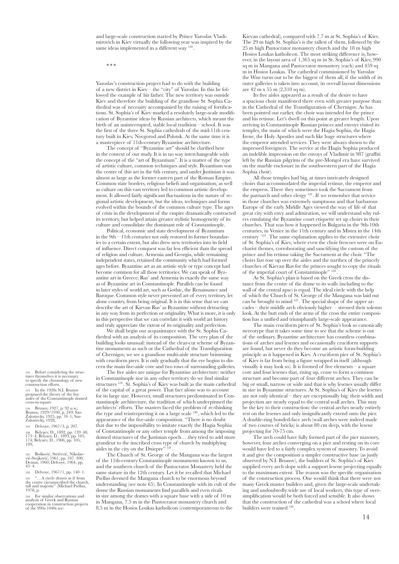and large-scale construction started by Prince Yaroslav Vladimirovich in Kiev virtually the following year was inspired by the same ideas implemented in a different way 118.

\* \* \*

Yaroslav's construction project had to do with the building of a new district in Kiev – the "city" of Yaroslav. In this he followed the example of his father. The new territory was outside Kiev and therefore the building of the grandiose St. Sophia Cathedral was of necessity accompanied by the raising of fortifications. St. Sophia's of Kiev marked a resolutely large-scale modification of Byzantine ideas by Russian architects, which meant the birth of an uninterrupted, stable local tradition – school. It was the first of the three St. Sophia cathedrals of the mid-11th century built in Kiev, Novgorod and Polotsk. At the same time it is a masterpiece of 11th-century Byzantine architecture.

The concept of "Byzantine art" should be clarified here in the context of our study. It is in no way interchangeable with the concept of the "art of Byzantium". It is a matter of the type of artistic culture, common techniques and style. Byzantium was the centre of this art in the 6th century, and under Justinian it was almost as large as the former eastern part of the Roman Empire. Common state borders, religious beliefs and organisation, as well as culture on this vast territory led to common artistic development. It allowed fairly significant fluctuations in the nature of regional artistic development, but the ideas, techniques and forms evolved within the bounds of the common culture type. The ages of crisis in the development of the empire dramatically contracted its territory, but helped attain greater stylistic homogeneity of its culture and consolidate the dominant role of Constantinople.

Political, economic and state development of Byzantium in the 9th – 11th centuries not only restored its former boundaries to a certain extent, but also drew new territories into its field of influence. Direct conquest was far less efficient than the spread of religion and culture. Armenia and Georgia, while remaining independent states, retained the community which had formed ages before. Byzantine art as an artistic style or type concept had become common for all those territories. We can speak of Byzantine art in Greece, Rus' and Armenia in exactly the same way as of Byzantine art in Constantinople. Parallels can be found in later styles of world art, such as Gothic, the Renaissance and Baroque. Common style never prevented art of every territory, let alone country, from being original. It is in this sense that we can describe the art of Kievan Rus' as Byzantine without detracting in any way from its perfection or originality. What is more, it is only in this perspective that we can correlate it with world art history and truly appreciate the extent of its originality and perfection.

We shall begin our acquaintance with the St. Sophia Cathedral with an analysis of its composition. The very plan of the building looks unusual: instead of the clear-cut scheme of Byzantine monuments as such or the Cathedral of the Transfiguration of Chernigov, we see a grandiose multi-aisle structure brimming with cruciform piers. It is only gradually that the eye begins to discern the main five-aisle core and two rows of surrounding galleries.

The five aisles are unique for Byzantine architecture: neither in Constantinople nor in any other territory do we find similar structures 119 . St. Sophia's of Kiev was built as the main cathedral of the capital of a great power. That fact alone was to account for its large size. However, small structures predominated in Constantinople architecture, the tradition of which underpinned the architects' efforts. The masters faced the problem of re-thinking the type and reinterpreting it on a large scale  $120$ , which led to the appearance of the five-aisle composition. "There is no doubt that due to the impossibility to imitate exactly the Hagia Sophia of Constantinople or any other temple from among the imposing domed structures of the Justinian epoch… they tried to add more grandeur to the inscribed cross type of church by multiplying aisles in the city on the Dniepre" <sup>121</sup>.

The Church of St. George of the Mangana was the largest of the 11th-century Constantinople monuments known to us, and the southern church of the Pantocrator Monastery held the same stature in the 12th century. Let it be recalled that Michael Psellus deemed the Mangana church to be enormous beyond understanding (see note 65). In Constantinople with its cult of the dome the Russian monuments find parallels and even rivals in size among the domes with a square base with a side of 10 m in Mangana, 7.5 m in the Pantocrator monastery church and 8.5 m in the Hosios Loukas katholicon (contemporaneous to the

Kievan cathedral), compared with 7.7 m at St. Sophia's of Kiev. The 29 m high St. Sophia's is the tallest of them, followed by the 25 m high Pantocrator monastery church and the 18 m high Hosios Loukas katholicon. The most striking difference is, however, in the layout area of 1,365 sq m in St. Sophia's of Kiev, 990 sq m in Mangana and Pantocrator monastery (each) and 459 sq m in Hosios Loukas. The cathedral commissioned by Yaroslav the Wise turns out to be the biggest of them all; if the width of its outer galleries is taken into account, its overall layout dimensions are 42 m x 55 m (2,310 sq m).

Its five aisles appeared as a result of the desire to have a spacious choir manifested there even with greater purpose than in the Cathedral of the Transfiguration of Chernigov. As has been pointed out earlier, the choir was intended for the prince and his retinue. Let's dwell on this point at greater length. Upon arriving in Constantinople Russian princes and envoys visited its temples, the main of which were the Hagia Sophia, the Hagia Irene, the Holy Apostles and such like huge structures where the emperor attended services. They were always shown to the impressed foreigners. The service at the Hagia Sophia produced an indelible impression on the envoys of Vladimir in 987 (graffiti left by the Russian pilgrims of the pre-Mongol era have survived on the marble enclosure in the southwestern part of the Hagia Sophia choir).

All those temples had big, at times intricately designed choirs that accommodated the imperial retinue, the emperor and the empress. There they sometimes took the Sacrament from the patriarch and other clergy 122 . If we remember that service in those churches was extremely sumptuous and that barbarous Europe of the early Middle Ages viewed the way of life of that great city with envy and admiration, we will understand why rulers emulating the Byzantine court etiquette set up choirs in their churches. That was how it happened in Bulgaria in the 9th-10th centuries, in Venice in the 11th century and in Mistra in the 14th century <sup>123</sup>. The same explanation applies to the extensive choir of St. Sophia's of Kiev, where even the choir frescoes were on Eucharist themes, corroborating and sanctifying the custom of the prince and his retinue taking the Sacrament at the choir. "The choirs fast rose up over the aisles and the narthex of the princely churches of Kievan Rus for the princes sought to copy the rituals of the imperial court of Constantinople" 124 .

As St. Sophia's plan is based on the Greek cross the distance from the centre of the dome to its walls (including to the wall of the central apse) is equal. The ideal circle with the help of which the Church of St. George of the Mangana was laid out can be brought to mind  $125$ . The special shape of the upper arcades – their middle arch obviously higher – stressed their solemn look. At the butt ends of the arms of the cross the entire composition has a unified and triumphantly large-scale appearance.

The main cruciform piers of St. Sophia's look so canonically stereotype that it takes some time to see that the scheme is out of the ordinary. Byzantine architecture has countless combinations of arches and lesenes and occasionally cruciform supports are found, but never do they become an artistic form-building principle as it happened in Kiev. A cruciform pier of St. Sophia's of Kiev is far from being a figure wrapped in itself (although visually it may look so). It is formed of five elements – a square core and four lesenes that, rising up, cease to form a common structure and become part of four different arches. They can be big or small, narrow or wide and that is why lesenes usually differ in size in Byzantine structures. At St. Sophia's of Kiev the lesenes are not only identical – they are exceptionally big: their width and projection are nearly equal to the central wall arches. This may be the key to their construction: the central arches nearly entirely rest on the lesenes and only insignificantly extend onto the pier. A double-ring bonded-face arch (wall arches were indeed made of two courses of bricks) is about 80 cm deep, with the lesene projecting for 70-75 cm.

The arch could have fully formed part of the pier masonry, however, four arches converging on a pier and resting on its core would have led to a fairly complex system of masonry. To avoid it and give the composition a simpler constructive base (as justly observed by N.I. Brunov), the builders of St. Sophia's of Kiev supplied every arch slope with a support lesene projecting equally to the maximum extent. The reason was the specific organisation of the construction process. One would think that there were not many Greek master builders and, given the large-scale undertaking and undoubtedly wide use of local workers, this type of oversimplification would be both forced and sensible. It also shows that the construction of the cathedral was a school where local builders were trained  $126$ .

116. Before considering the struc- tures themselves it is necessary to specify the chronology of new construction efforts.

In the 1920s N.I. Brunov proposed the theory of the five aisles of the Constantinople domed cross-in-square

118. Brunov, 1927, p. 92 u.w.; Brunov, 1929/1930, p. 249; Sas-Zaloziecky, 1925, pp. 70–1; Sas-Zaloziecky, 1928,

119. Delvoye, 1967/3, p. 207.

120. Belyaev, D*.*, 1892, pp. 139–40, 173–4; Belyaev, D*.*, 1893, pp. 105, 174; Belyaev, D*.*, 1906, pp. 105,  $109$ 

121. Bošković, Stričević, Nikolae- vić-Stojković, 1961, pp. 187–200; Demus, 1960; Delvoye, 1964, pp. 43–4.

122. Delvoye, 1967/1, pp. 140-1.<br>123. "...A circle drawn as if from

123. "…A circle drawn as if from the centre circumscribed the church, tall and majestic" (Michael Psellus, 1978, p.

124. For similar observations and analysis of Greek and Russian cooperation in construction projects of the 990s-1040s see: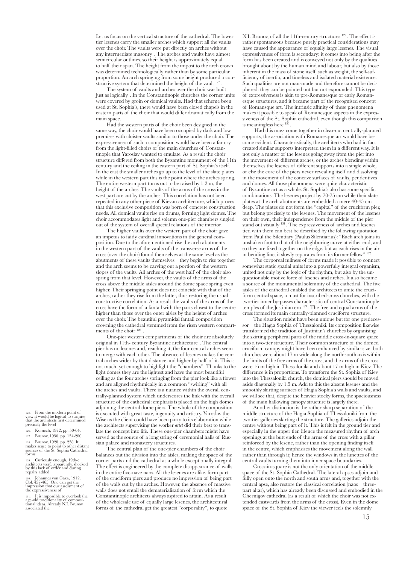Let us focus on the vertical structure of the cathedral. The lower tier lesenes carry the smaller arches which support all the vaults over the choir. The vaults were put directly on arches without any intermediate masonry . The arches and vaults have almost semicircular outlines, so their height is approximately equal to half their span. The height from the impost to the arch crown was determined technologically rather than by some particular proportion. An arch springing from some height produced a constructive system that determined the height of the vault <sup>12</sup>

The system of vaults and arches over the choir was built just as logically . In the Constantinople churches the corner units were covered by groin or domical vaults. Had that scheme been used at St. Sophia's, there would have been closed chapels in the eastern parts of the choir that would differ dramatically from the main space.

Had the western parts of the choir been designed in the same way, the choir would have been occupied by dark and low premises with cloister vaults similar to those under the choir. The expressiveness of such a composition would have been a far cry from the light-filled choirs of the main churches of Constantinople that Yaroslav wanted to emulate. As a result the choir structure differed from both the Byzantine monument of the 11th century and the ceiling in the eastern part of St. Sophia's itself. In the east the smaller arches go up to the level of the slate plates while in the western part this is the point where the arches spring. The entire western part turns out to be raised by 1.2 m, the height of the arches. The vaults of the arms of the cross in the west part are cut by the arches. This correlation has not been repeated in any other piece of Kievan architecture, which proves that this exclusive composition was born of concrete construction needs. All domical vaults rise on drums, forming light domes. The choir accommodates light and solemn one-pier chambers singled out of the system of overall special relations of the interior.

The higher vaults over the western part of the choir gave an impetus to fairly cardinal innovations in the general composition. Due to the aforementioned rise the arch abutments in the western part of the vaults of the transverse arms of the cross (over the choir) found themselves at the same level as the abutments of these vaults themselves – they begin to rise together and the arch seems to be carving out a portion of the western slopes of the vaults. All arches of the west half of the choir also spring from that level. However, the vaults of the arms of the cross above the middle aisles around the dome space spring even higher. Their springing point does not coincide with that of the arches; rather they rise from the latter, thus restoring the usual constructive correlation. As a result the vaults of the arms of the cross have the form of a fantail with the parts closest to the centre higher than those over the outer aisles by the height of arches over the choir. The beautiful pyramidal fantail composition crowning the cathedral stemmed from the risen western compartments of the choir 128 .

One-pier western compartments of the choir are absolutely original in 11th- century Byzantine architecture . The central pier has no lesenes and, reaching it, the four central arches seem to merge with each other. The absence of lesenes makes the central arches wider by that distance and higher by half of it. This is not much, yet enough to highlight the "chambers". Thanks to the light domes they are the lightest and have the most beautiful ceiling as the four arches springing from the pier look like a flower and are aligned rhythmically in a common "swirling" with all the arches and vaults. There is a nuance within the overall centrally-planned system which underscores the link with the overall structure of the cathedral: emphasis is placed on the high domes adjoining the central dome piers. The whole of the composition is executed with great taste, ingenuity and artistry. Yaroslav the Wise as the client could have been party to its elaboration while the architects supervising the worker *artel* did their best to translate the concept into life. These one-pier chambers might have served as the source of a long string of ceremonial halls of Russian palace and monastery structures.

The central plan of the one-pier chambers of the choir balances out the division into the aisles, making the space of the corner parts and the cathedral as a whole exceptionally integral. The effect is engineered by the complete disappearance of walls in the entire five-nave naos. All the lesenes are alike, form part of the cruciform piers and produce no impression of being part of the walls cut by the arches. However, the absence of massive walls does not entail the dematerialisation of form which the Constantinople architects always aspired to attain. As a result of the wholesale use of equally large lesenes, the architectural forms of the cathedral get the greatest "corporality", to quote

N.I. Brunov, of all the 11th-century structures 129 . The effect is rather spontaneous because purely practical considerations may have caused the appearance of equally large lesenes. The visual expressiveness of form is secondary: it comes into being after the form has been created and is conveyed not only by the qualities brought about by the human mind and labour, but also by those inherent in the mass of stone itself, such as weight, the self-sufficiency of inertia, and timeless and isolated material existence. Such qualities are not man-made and therefore cannot be deciphered: they can be pointed out but not expounded. This type of expressiveness is akin to pre-Romanesque or early Romanesque structures, and it became part of the recognised concept of Romansque art. The intrinsic affinity of these phenomena makes it possible to speak of Romanesque aspects in the expressiveness of the St. Sophia cathedral, even though this comparison is meaningless here <sup>1</sup>

 Had this mass come together in clear-cut centrally-planned supports, the association with Romanesque art would have become evident. Characteristically, the architects who had in fact created similar supports interpreted them in a different way. It is not only a matter of the lesenes going away from the pier into the movement of different arches, or the arches blending within themselves the lesenes of different supports into a single whole, or else the core of the piers never revealing itself and dissolving in the movement of the concave surfaces of vaults, pendentives and domes. All those phenomena were quite characteristic of Byzantine art as a whole. St. Sophia's also has some specific combinations. The lesenes project by 70-75 cm while their slate plates at the arch abutments are embedded a mere 40-45 cm deep. The plates do not form the "capital" of the cruciform pier, but belong precisely to the lesenes. The movement of the lesenes on their own, their independence from the middle of the pier stand out visually 131 . The expressiveness of arches and lesenes tied with them can best be described by the following quotation from Paul the Silentiary (Paulus Silentiarius): "Each arch joins its unshaken foot to that of the neighboring curve at either end, and so they are fixed together on the edge, but as each rises in the air in bending line, it slowly separates from its former fellow" 132

The corporeal fullness of forms made it possible to connect somewhat static spatial units into a powerfully integral organism, united not only by the logic of the rhythm, but also by the unquestionable motive force of lesenes and arches. It also became a source of the monumental solemnity of the cathedral. The five aisles of the cathedral enabled the architects to unite the cruciform central space, a must for inscribed-cross churches, with the two-tier inner by-passes characteristic of central Constantinople temples of the Justinian era 133 . The free and equal arms of the cross formed its main centrally-planned cruciform structure.

The situation might have been unique but for one predecessor – the Hagia Sophia of Thessaloniki. Its composition likewise transformed the tradition of Justinian's churches by organising the skirting peripheral parts of the middle cross-in-square space into a two-tier structure. Their common structure of the domed cruciform canopy might have been enhanced by similar size: both churches were about 17 m wide along the north-south axis within the limits of the free arms of the cross, and the arms of the cross were 16 m high in Thessaloniki and about 17 m high in Kiev. The difference is in proportions. To transform the St. Sophia of Kiev into the Thessaloniki church, the domical piers should be moved aside diagonally by 1.5 m. Add to this the absent lesenes and the smoothly skirting surfaces of Hagia Sophia's walls and vaults, and we will see that, despite the heavier stocky forms, the spaciousness of the main hallowing canopy structure is largely there.

Another distinction is the rather sharp separation of the middle structure of the Hagia Sophia of Thessaloniki from the two-tier galleries skirting the structure. The galleries adjoin the centre without being part of it. This is felt in the ground tier and especially in the upper tier. Hence the measured rhythm of arch openings at the butt ends of the arms of the cross with a pillar reinforced by the lesene, rather than the opening finding itself in the centre, which emphasises the movement along the wall rather than through it; hence the windows in the lunettes of the central vaults turning them into inner space boundaries.

Cross-in-square is not the only orientation of the middle space of the St. Sophia Cathedral. The lateral apses adjoin and fully open onto the north and south arms and, together with the central apse, also restore the classical correlation (naos – threepart altar), which has already been discussed and embodied in the Chernigov cathedral (as a result of which the choir was not extended eastwards from the arms of the cross). Even in the dome space of the St. Sophia of Kiev the viewer feels the solemnly

From the modern point of view it would be logical to surmise that the architects first determined precisely the level

126. Komech, 1972, pp. 50-64. 127. Brunov, 1950, pp. 154-200.

128. Brunov, 1928, pp. 258. It makes sense to point to other distant sources of the St. Sophia Cathedral forms.

129. Curiously enough, 19th-c. architects were, apparently, shocked by this lack of order and during repairs added

130. Johannes von Gaza, 1912. Col. 457-465. One can get the impression that our assessment of the expressiveness of

131. It is impossible to overlook the age-old traditionality of composi- tional ideas. Already N.I. Brunov associated the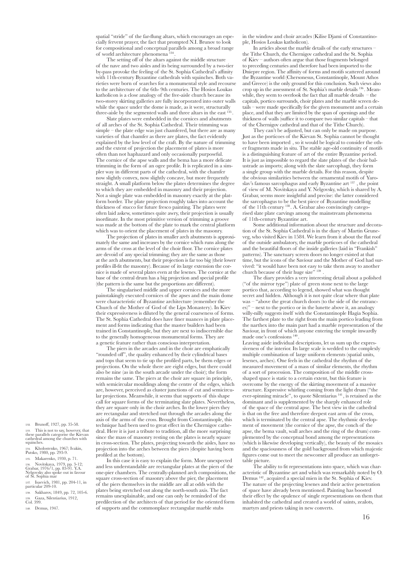spatial "stride" of the far-flung altars, which encourages an especially fervent prayer, the fact that prompted N.I. Brunov to look for compositional and conceptual parallels among a broad range of world architecture phenomena 134 .

The setting off of the altars against the middle structure of the nave and two aisles and its being surrounded by a two-tier by-pass provoke the feeling of the St. Sophia Cathedral's affinity with 11th-century Byzantine cathedrals with squinches. Both varieties were born of searches for a monumental style and recourse to the architecture of the 6th- 9th centuries. The Hosios Loukas katholicon is a close analogy of the five-aisle church because its two-storey skirting galleries are fully incorporated into outer walls while the space under the dome is made, as it were, structurally three-aisle by the segmented walls and three altars in the east <sup>135</sup>

Slate plates were embedded in the cornices and abutments of all arches of the St. Sophia Cathedral. Their trimming was simple – the plate edge was just chamfered, but there are as many varieties of that chamfer as there are plates, the fact evidently explained by the low level of the craft. By the nature of trimming and the extent of projection the placement of plates is more often than not haphazard and only occasionally purposeful. The cornice of the apse walls and the bema has a more delicate trimming in the form of an ogee profile. It is replicated in a simpler way in different parts of the cathedral, with the chamfer now slightly convex, now slightly concave, but more frequently straight. A small platform below the plates determines the degree to which they are embedded in masonry and their projection. Not a single plate was embedded in masonry exactly at the platform border. The plate projection roughly takes into account the thickness of stucco for future fresco painting. The plates were often laid askew, sometimes quite awry, their projection is usually inordinate. In the most primitive version of trimming a groove was made at the bottom of the plate to mark the central platform which was to orient the placement of plates in the masonry.

The projection of plates in smaller arch abutments is approximately the same and increases by the cornice which runs along the arms of the cross at the level of the choir floor. The cornice plates are devoid of any special trimming; they are the same as those at the arch abutments, but their projection is far too big (their lower profiles ill-fit the masonry). Because of its large extension the cornice is made of several plates even at the lesenes. The cornice at the base of the central drum has a big projection and special profile (the pattern is the same but the proportions are different).

The singularised middle and upper cornices and the more painstakingly executed cornices of the apses and the main dome were characteristic of Byzantine architecture (remember the Church of the Mother of God of the Lips Monastery). In Kiev their expressiveness is diluted by the general coarseness of forms. The St. Sophia Cathedral does have finer nuances in plate placement and forms indicating that the master builders had been trained in Constantinople, but they are next to indiscernible due to the generally homogeneous monumental forms. They are a genetic feature rather than conscious interpretation.

The piers in the arcades and in the choir are emphatically "rounded off", the quality enhanced by their cylindrical bases and tops that seem to tie up the profiled parts, be them edges or projections. On the whole there are eight edges, but there could also be nine (as in the south arcade under the choir); the form remains the same. The piers at the choir are square in principle, with semicircular mouldings along the centre of the edges, which are, however, perceived as cluster junctions of cut and semicircular projections. Meanwhile, it seems that supports of this shape call for square forms of the terminating slate plates. Nevertheless, they are square only in the choir arches. In the lower piers they are rectangular and stretched out through the arcades along the axis of the arms of the cross. Brought from Constantinople, this technique had been used to great effect in the Chernigov cathedral. Here it is just a tribute to tradition, all the more surprising since the mass of masonry resting on the plates is nearly square in cross-section. The plates, projecting towards the aisles, have no projection into the arches between the piers (despite having been profiled at the bottom).

In this case it is easy to explain the form. More unexpected and less understandable are rectangular plates at the piers of the one-pier chambers. The centrally-planned arch compositions, the square cross-section of masonry above the pier, the placement of the piers themselves in the middle are all at odds with the plates being stretched out along the north-south axis. The fact remains unexplainable, and one can only be reminded of the predilection of the architects of that period for the oriented form of supports and the commonplace rectangular marble stubs

in the window and choir arcades (Kilise Djami of Constantinople, Hosios Loukas katholicon).

In articles about the marble details of the early structures – the Tithe Church, the Chernigov cathedral and the St. Sophia of Kiev – authors often argue that those fragments belonged to preceding centuries and therefore had been imported to the Dniepre region. The affinity of forms and motifs scattered around the Byzantine world (Chersonesus, Constantinople, Mount Athos and Greece) is the only ground for this conclusion. Such views also crop up in the assessment of St. Sophia's marble details 136 . Meanwhile, they seem to overlook the fact that all marble details – the capitals, portico surrounds, choir plates and the marble screen details – were made specifically for the given monument and a certain place, and that they are limited by the span of openings and the thickness of walls (suffice it to compare two similar capitals – that of the Chernigov cathedral and that of the Tithe Church).

They can't be adjusted, but can only be made on purpose. Just as the porticoes of the Kievan St. Sophia cannot be thought to have been imported , so it would be logical to consider the other fragments made in situ. The stable age-old continuity of motifs is a distinguishing feature of art of the entire Byzantine period. It is just as impossible to regard the slate plates of the choir balustrade as imports; along with the slate sarcophagi, they form a single group with the marble details. For this reason, despite the obvious similarities between the ornamental motifs of Yaroslav's famous sarcophagus and early Byzantine art 137 , the point of view of M. Novitskaya and Y. Nelgovsky, which is shared by A. Grabar, seems more insightful and precise: the latter considered the sarcophagus to be the best piece of Byzantine modelling of the 11th century 138 . A. Grabar also convincingly categorised slate plate carvings among the mainstream phenomena of 11th-century Byzantine art.

Some additional information about the structure and decoration of the St. Sophia Cathedral is in the diary of Martin Gruneveg, who visited Kiev in 1584. We learn from it about the flat roof of the outside ambulatory, the marble porticoes of the cathedral and the beautiful floors of the inside galleries (laid in "Frankish" patterns). The sanctuary screen doors no longer existed at that time, but the icons of the Saviour and the Mother of God had survived: "it would have been not easy to take them away to another church because of their huge size" 139 .

The diary provides a very interesting detail about a polished ("of the mirror type") plate of green stone next to the large portico that, according to legend, showed what was thought secret and hidden. Although it is not quite clear where that plate was – "above the great church doors (to the side of the entrances)" – next to the portico or in the lunette above it, an analogy willy-nilly suggests itself with the Constantinople Hagia Sophia. The farthest plate to the right from the main portico leading from the narthex into the main part had a marble representation of the Saviour, in front of which anyone entering the temple inwardly made one's confessions<sup>140</sup>

Leaving aside individual descriptions, let us sum up the expressiveness of the interior. Its large scale is wedded to the complexly multiple combination of large uniform elements (spatial units, lesenes, arches). One feels in the cathedral the rhythm of the measured movement of a mass of similar elements, the rhythm of a sort of procession. The composition of the middle crossshaped space is static to a certain extent, but this feature is overcome by the energy of the skirting movement of a massive structure. Expressive whirling coming from the light drum ("the ever-spinning miracle", to quote Silentiarius 141 , is retained as the dominant and is supplemented by the sharply enhanced role of the space of the central apse. The best view in the cathedral is that on the free and therefore deepest east arm of the cross, which is terminated by the central apse. The rhythmic development of movement (the cornice of the apse, the conch of the apse, the bema vault, wall arches and the ring of the drum) complemented by the conceptual bond among the representations (which is likewise developing vertically), the beauty of the mosaics and the spaciousness of the gold background from which majestic figures come out to meet the newcomer all produce an unforgettable picture.

The ability to fit representations into space, which was characteristic of Byzantine art and which was remarkably noted by O. Demus 142 , acquired a special mien in the St. Sophia of Kiev. The nature of the projecting lesenes and their active penetration of space have already been mentioned. Painting has boosted their effect by the opulence of single representations on them that inhabited the cathedral and created a world of saints, zealots, martyrs and priests taking in new converts.

132. Brunoff, 1927, pp. 35-58.

133. This is not to say, however, that these parallels categorise the Kievan cathedral among the churches with squinches.

134. Kholostenko, 1967; Ivakin, Putsko, 1980, pp. 293-9.

135. Makarenko, 1930, p. 71. 136. Novitskaya, 1979, pp. 3-12; Grabar, 1976/1, pp. 83-91. Y.A. Nelgovsky also spoke out in favour of St. Sophia mar

137. Isaevich, 1981, pp. 204-11, in particular 209-10.

138. Sakharov, 1849, pp. 72, 105-6. 139. Gaza, Silentiarius, 1912, Col. 399.

140. Demus, 1947.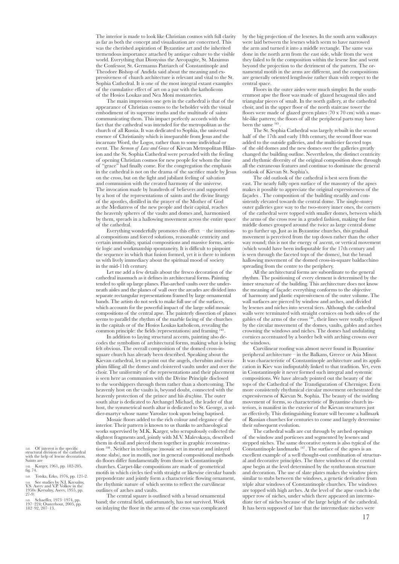The interior is made to look like Christian cosmos with full clarity as far as both the concept and visualisation are concerned. This was the cherished aspiration of Byzantine art and the inherited tremendous importance attached by antique culture to the visible world. Everything that Dionysius the Areopagite, St. Maximus the Confessor, St. Germanus Patriarch of Constantinople and Theodore Bishop of Andida said about the meaning and expressiveness of church architecture is relevant and vital to the St. Sophia Cathedral. It is one of the most integral extant examples of the cumulative effect of art on a par with the katholicons of the Hosios Loukas and Nea Moni monasteries.

The main impression one gets in the cathedral is that of the appearance of Christian cosmos to the beholder with the visual embodiment of its supreme truths and the multitude of saints communicating them. This impact perfectly accords with the fact that the cathedral was intended for the metropolitan as the church of all Russia. It was dedicated to Sophia, the universal essence of Christianity which is inseparable from Jesus and the incarnate Word, the Logos, rather than to some individual or event. The *Sermon of Law and Grace* of Kievan Metropolitan Hilarion and the St. Sophia Cathedral were pervaded with the feeling of opening Christian cosmos for new people for whom the time of "grace" had finally come. For the congregation the emphasis in the cathedral is not on the drama of the sacrifice made by Jesus on the cross, but on the light and jubilant feeling of salvation and communion with the created harmony of the universe. The invocation made by hundreds of believers and supported by a host of the representations of saints and the divine liturgy of the apostles, distilled in the prayer of the Mother of God as the Mediatress of the new people and their capital, reaches the heavenly spheres of the vaults and domes and, harmonised by them, spreads in a hallowing movement across the entire space of the cathedral.

Everything wonderfully promotes this effect – the intentional compositions and forced solutions, reasonable centricity and certain immobility, spatial compositions and massive forms, artistic logic and workmanship spontaneity. It is difficult to pinpoint the sequence in which that fusion formed, yet it is there to inform us with lively immediacy about the spiritual mood of society in the mid-11th century.

Let me add a few details about the fresco decoration of the cathedral inasmuch as it defines its architectural forms. Painting tended to split up large planes. Flat-arched vaults over the underneath aisles and the planes of wall over the arcades are divided into separate rectangular representations framed by large ornamental bands. The artists do not seek to make full use of the surfaces, which accounts for the powerful impact of the large solid mosaic compositions of the central apse. The painterly dissection of planes seems to parallel the rhythm of the marble facing of the churches in the capitals or of the Hosios Loukas katholicon, revealing the common principle: the fields (representations) and framing

In addition to laying structural accents, painting also decodes the symbolism of architectural forms, making what is being felt obvious. The overall composition of the domed cross-insquare church has already been described. Speaking about the Kievan cathedral, let us point out the angels, cherubim and seraphim filling all the domes and cloistered vaults under and over the choir. The uniformity of the representations and their placement is seen here as communion with the Divine Principle disclosed to the worshippers through them rather than a shortcoming. The heavenly host on the vaults is, beyond doubt, connected with the heavenly protection of the prince and his *druzhina*. The outer south altar is dedicated to Archangel Michael, the leader of that host, the symmetrical north altar is dedicated to St. George, a soldier-martyr whose name Yaroslav took upon being baptised.

Mosaic floors added to the rich colour and elegance of the interior. Their pattern is known to us thanks to archaeological works supervised by M.K. Karger, who scrupulously collected the slightest fragments and, jointly with M.V. Malevskaya, described them in detail and pieced them together in graphic reconstruction 144 . Neither in technique (mosaic set in mortar and inlayed stone slabs), nor in motifs, nor in general compositional methods do floors differ fundamentally from those in Constantinople churches. Carpet-like compositions are made of geometrical motifs in which circles tied with straight or likewise circular bands preponderate and jointly form a characteristic flowing ornament, the rhythmic nature of which seems to reflect the curvilinear outlines of arches and vaults.

The central square is outlined with a broad ornamental band; the central field, unfortunately, has not survived. Work on inlaying the floor in the arms of the cross was complicated by the big projection of the lesenes. In the south arm walkways were laid between the lesenes which seem to have narrowed the arm and turned it into a middle rectangle. The same was done in the north arm from the east side, while from the west they failed to fit the composition within the lesene line and went beyond the projection to the detriment of the pattern. The ornamental motifs in the arms are different, and the compositions are generally oriented lengthwise rather than with respect to the central space.

Floors in the outer aisles were much simpler. In the southernmost apse the floor was made of glazed hexagonal tiles and triangular pieces of smalt. In the north gallery, at the cathedral choir, and in the upper floor of the north staircase tower the floors were made of glazed green plates  $(70 \times 70 \text{ cm})$  with a marble-like pattern; the floors of all the peripheral parts may have been the same  $145$ 

The St. Sophia Cathedral was largely rebuilt in the second half of the 17th and early 18th century, the second floor was added to the outside galleries, and the multi-tier faceted tops of the old domes and the new domes over the galleries greatly changed the building outline. Nevertheless, the distinct centricity and rhythmic diversity of the original composition show through all the extraneous features and continue to dominate the general outlook of Kievan St. Sophia's.

The old outlook of the cathedral is best seen from the east. The nearly fully open surface of the masonry of the apses makes it possible to appreciate the original expressiveness of the façades . The composition of the building steadily and consistently elevated towards the central dome. The single-storey outer galleries gave way to the two-storey inner ones, the corners of the cathedral were topped with smaller domes, between which the arms of the cross rose in a graded fashion, making the four middle domes grouped around the twice as large central dome to go further up. Just as in Byzantine churches, this gradual movement is perceived from the top down rather than the other way round; this is not the energy of ascent, or vertical movement (which would have been indisputable for the 17th century and is seen through the faceted tops of the domes), but the broad hallowing movement of the domed cross-in-square baldacchino spreading from the centre to the periphery.

All the architectural forms are subordinate to the general rhythm. The positioning of every element is determined by the inner structure of the building. This architecture does not know the meaning of façade: everything conforms to the objective of harmony and plastic expressiveness of the outer volume. The wall surfaces are pierced by window and arches, and divided by lesenes and niches into several tiers. Although the cathedral walls were terminated with straight cornices on both sides of the gables of the arms of the cross 146 , their lines were totally eclipsed by the circular movement of the domes, vaults, gables and arches crowning the windows and niches. The domes had undulating cornices accentuated by a border belt with arching crowns over the windows.

Curvilinear roofing was almost never found in Byzantine peripheral architecture – in the Balkans, Greece or Asia Minor. It was characteristic of Constantinople architecture and its application in Kiev was indisputably linked to that tradition. Yet, even in Constantinople it never formed such integral and systemic compositions. We have already pointed out the beauty of the tops of the Cathedral of the Transfiguration of Chernigov. Even more consistently rhythmical circular movement orchestrated the expressiveness of Kievan St. Sophia. The beauty of the swirling movement of forms, so characteristic of Byzantine church interiors, is manifest in the exterior of the Kievan structures just as effectively. This distinguishing feature will become a hallmark of Russian churches for centuries to come and largely determine their subsequent evolution.

The cathedral walls are cut through by arched openings of the window and porticoes and segmented by lesenes and stepped niches. The same decorative system is also typical of the Constantinople landmarks 147 . The surface of the apses is an excellent example of a well thought-out combination of structural and decorative principles. The three windows of the central apse begin at the level determined by the synthronon structure and decoration. The use of slate plates makes the window piers similar to stubs between the windows, a genetic derivative from triple altar windows of Constantinople churches. The windows are topped with high arches. At the level of the apse conch is the upper row of niches, under which there appeared an intermediate tier of niches because of the large height of the cathedral. It has been supposed of late that the intermediate niches were

141. Of interest is the specific structural division of the cathedral structural division of the cathedral<br>with the help of lesene decoration.<br>Saints are Saints are

142. Karger, 1961, pp. 182-205, fig. 74.

143. Totska, Erko, 1976, pp. 121-2. 144. See studies by N.I. Kresalny, Y.S. Aseev and V.P. Volkov in the 1950s (Kresalny, Aseev, 1955, pp.  $27-9)$ 

145. Schaeffer, 1973–1974, pp. 197–224; Ousterhout, 2005, pp. 182–92, 207–13.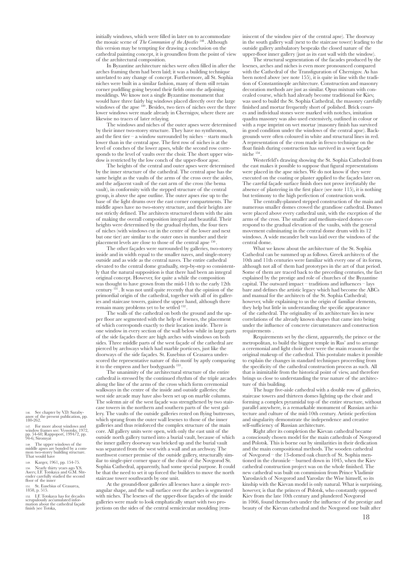initially windows, which were filled in later on to accommodate the mosaic scene of *The Communion of the Apostles* <sup>148</sup> . Although this version may be tempting for drawing a conclusion on the cathedral painting concept, it is groundless from the point of view of the architectural composition.

In Byzantine architecture niches were often filled in after the arches framing them had been laid; it was a building technique unrelated to any change of concept. Furthermore, all St. Sophia niches were built in a similar fashion, many of them still retain corner puddling going beyond their fields onto the adjoining mouldings. We know not a single Byzantine monument that would have three fairly big windows placed directly over the large windows of the apse <sup>149</sup>. Besides, two tiers of niches over the three lower windows were made already in Chernigov, where there are likewise no traces of later relaying.

The windows and niches of the outer apses were determined by their inner two-storey structure. They have no synthronon, and the first tier – a window surrounded by niches – starts much lower than in the central apse. The first row of niches is at the level of conches of the lower apses, while the second row corresponds to the level of vaults over the choir. The short upper window is restricted by the low conch of the upper-floor apse.

The heights of the central and outer apses were determined by the inner structure of the cathedral. The central apse has the same height as the vaults of the arms of the cross over the aisles, and the adjacent vault of the east arm of the cross (the bema vault), in conformity with the stepped structure of the central group, is above the apse outline. The outer apses rise up to the base of the light drums over the east corner compartments. The middle apses have no two-storey structure, and their heights are not strictly defined. The architects structured them with the aim of making the overall composition integral and beautiful. Their heights were determined by the gradual rhythm, the four tiers of niches (with windows cut in the centre of the lower and next but one tier) are similar to the outer ones in number and their placement levels are close to those of the central apse 150 .

The other façades were surrounded by galleries, two-storey inside and in width equal to the smaller naves, and single-storey outside and as wide as the central naves. The entire cathedral elevated to the central dome gradually, step-by-step so consistently that the natural supposition is that there had been an integral original concept. However, for quite a while the composition was thought to have grown from the mid-11th to the early 12th century 151 . It was not until quite recently that the opinion of the primordial origin of the cathedral, together with all of its galleries and staircase towers, gained the upper hand, although there remain many problems yet to be settled 152 .

The walls of the cathedral on both the ground and the upper floor are segmented with the help of lesenes, the placement of which corresponds exactly to their location inside. There is one window in every section of the wall below while in large parts of the side façades there are high arches with windows on both sides. Three middle parts of the west façade of the cathedral are pierced by archways which had marble porticoes, just like the doorways of the side façades. St. Eusebius of Ceasarea underscored the representative nature of this motif by aptly comparing it to the empress and her bodyguards <sup>153</sup>

The unanimity of the architectural structure of the entire cathedral is stressed by the continued rhythm of the triple arcades along the line of the arms of the cross which form ceremonial walkways in the centre of the inside and outside galleries; the west side arcade may have also been set up on marble columns. The solemn air of the west façade was strengthened by two staircase towers in the northern and southern parts of the west gallery. The vaults of the outside galleries rested on flying buttresses, which sprang from the outer wall lesenes to those of the inner galleries and thus reinforced the complex structure of the main core. All gallery units were open, with only the east unit of the outside north gallery turned into a burial vault, because of which the inner gallery doorway was bricked up and the burial vault was separated from the west with a wall and an archway. The northwest corner premise of the outside gallery, structurally similar to single-pier corner space of the choir of the Novgorod St. Sophia Cathedral, apparently, had some special purpose. It could be that the need to set it up forced the builders to move the north staircase tower southwards by one unit.

At the ground-floor galleries all lesenes have a simple rectangular shape, and the wall surface over the arches is segmented with niches. The lesenes of the upper-floor façades of the inside galleries were made to look emphatically smart with two projections on the sides of the central semicircular moulding (reminiscent of the window pier of the central apse). The doorway in the south gallery wall (next to the staircase tower) leading to the outside gallery ambulatory bespeaks the closed nature of the upper-floor inner gallery (just as its east wall with the window).

The structural segmentation of the facades produced by the lesenes, arches and niches is even more pronounced compared with the Cathedral of the Transfiguration of Chernigov. As has been noted above (see note 155), it is quite in line with the tradition of Constantinople architecture. Construction and masonry decoration methods are just as similar. Opus mixtum with concealed course, which had already become traditional for Kiev, was used to build the St. Sophia Cathedral, the masonry carefully finished and mortar frequently short of polished. Brick courses and individual stones were marked with notches, imitation quadra masonry was also used extensively, outlined in colour or with a rope imprint on wet mortar (masonry finish has survived in good condition under the windows of the central apse). Backgrounds were often coloured in white and structural lines in red. A representation of the cross made in fresco technique on the float finish during construction has survived in a west façade niche 154 .

Westerfeld's drawing showing the St. Sophia Cathedral from the east makes it possible to suppose that figural representations were placed in the apse niches. We do not know if they were executed on the coating or plaster applied to the façades later on. The careful façade surface finish does not prove irrefutably the absence of plastering in the first place (see note 115), it is nothing but testimony to the high perfection of construction work.

The centrally-planned stepped construction of the main and numerous smaller domes crowed the grandiose cathedral. Domes were placed above every cathedral unit, with the exception of the arms of the cross. The smaller and medium-sized domes correspond to the gradual elevation of the vaults, with the general movement culminating in the central dome drum with its 12 windows. A wide meander belt was laid over the windows of the central dome.

What we know about the architecture of the St. Sophia Cathedral can be summed up as follows. Greek architects of the 10th and 11th centuries were familiar with every one of its forms, although not all of them had prototypes in the art of that period. Some of them are traced back to the preceding centuries, the fact explained by the prestige and role of churches of the Byzantine capital. The outward impact – traditions and influences – lays bare and defines the artistic legacy which had become the ABCs and manual for the architects of the St. Sophia Cathedral; however, while explaining to us the origin of familiar elements, they help but little in understanding the specific appearance of the cathedral. The originality of its architecture lies in new correlations of the already known shapes that came into being under the influence of concrete circumstances and construction requirements .

Requirements set by the client, apparently, the prince or the metropolitan, to build the biggest temple in Rus' and to arrange a ceremonial and light choir there were the main reasons for the original makeup of the cathedral. This postulate makes it possible to explain the changes in standard techniques proceeding from the specificity of the cathedral construction process as such. All that is inimitable from the historical point of view, and therefore brings us close to understanding the true nature of the architecture of this building.

The huge five-aisle cathedral with a double row of galleries, staircase towers and thirteen domes lighting up the choir and forming a complex pyramidal top of the entire structure, without parallel anywhere, is a remarkable monument of Russian architecture and culture of the mid-10th century. Artistic perfection and singularity demonstrate the independence and creative self-sufficiency of Russian architecture.

Right after its completion the Kievan cathedral became a consciously chosen model for the main cathedrals of Novgorod and Polotsk. This is borne out by similarities in their dedication and the main compositional methods. The wooden cathedral of Novgorod – the 13-domed oak church of St. Sophia mentioned in the chronicle – burned down in 1045, when the Kiev cathedral construction project was on the whole finished. The new cathedral was built on commission from Prince Vladimir Yaroslavich of Novgorod and Yaroslav the Wise himself, so its kinship with the Kievan model is only natural. What is surprising, however, is that the princes of Polotsk, who constantly opposed Kiev from the late 10th century and plundered Novgorod in 1066, found themselves under the influence of the prestige and beauty of the Kievan cathedral and the Novgorod one built after

146. See chapter by V.D. Saraby-<br>anov of the present publication, pp. 180-262.

147. For more about windows and window frames see: Vyssotsky, 1972, pp. 54-60; Rappoport, 1994/2, pp. 94-6; Siromyat

148. The upper windows of the middle apses are bonded by a com- mon two-storey building structure. That would have

149. Karger, 1961, pp. 154-75. 150. Nearly thirty years ago Y.S. Aseev, I.F. Totskaya and G.M. Sht- ender carefully studied the second floor of the inner

151. St. Eusebius of Ceasarea, 1858, p. 515.

152. I.F. Totskaya has for decades scrupulously accumulated infor- mation about the cathedral façade finish (see Totska,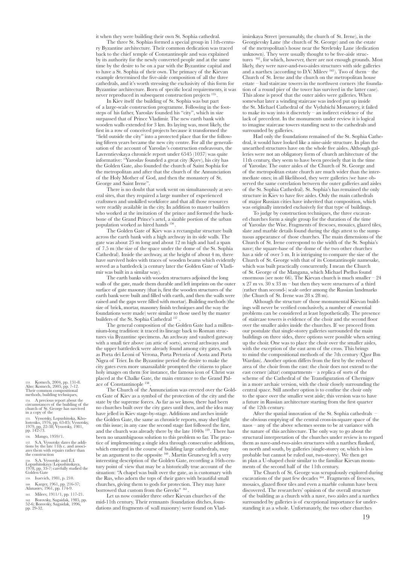it when they were building their own St. Sophia cathedral.

The three St. Sophias formed a special group in 11th-century Byzantine architecture. Their common dedication was traced back to the chief temple of Constantinople and was explained by its authority for the newly converted people and at the same time by the desire to be on a par with the Byzantine capital and to have a St. Sophia of their own. The primacy of the Kievan example determined the five-aisle composition of all the three cathedrals, and it's worth stressing the exclusivity of this form for Byzantine architecture. Born of specific local requirements, it was never reproduced in subsequent construction projects <sup>155</sup>

In Kiev itself the building of St. Sophia was but part of a large-scale construction programme. Following in the footsteps of his father, Yaroslav founded his "city", which in size surpassed that of Prince Vladimir. The new earth bank with wooden walls extended for 3 km. Its laying was, most likely, the first in a row of conceived projects because it transformed the "field outside the city" into a protected place that for the following fifteen years became the new city centre. For all the generalisation of the account of Yaroslav's construction endeavours, the Lavrentievskaya chronicle report under 6545 (1037) was quite informative: "Yaroslav founded a great city (Kyev), his city has the Golden Gate, also founded the church of Saint Sophia for the metropolitan and after that the church of the Annunciation of the Holy Mother of God, and then the monastery of St. George and Saint Irene".

There is no doubt that work went on simultaneously at several sites, that they required a large number of experienced craftsmen and unskilled workforce and that all those resources were readily available in the city. In addition to master builders who worked at the invitation of the prince and formed the backbone of the Grand Prince's artel, a sizable portion of the urban population worked as hired hands 156 .

The Golden Gate of Kiev was a rectangular structure built across the earth bank with a high archway in its side walls. The gate was about 25 m long and about 12 m high and had a span of 7.5 m (the size of the space under the dome of the St. Sophia Cathedral). Inside the archway, at the height of about 4 m, there have survived holes with traces of wooden beams which evidently served as a battledeck (a century later the Golden Gate of Vladimir was built in a similar way).

The earth banks with wooden structures adjoined the long walls of the gate, made them durable and left imprints on the outer surface of gate masonry (that is, first the wooden structures of the earth bank were built and filled with earth, and then the walls were raised and the gaps were filled with mortar). Building methods (the size of brick, mortar, masonry finish techniques and the way the foundations were made) were similar to those used by the master builders of the St. Sophia Cathedral 157

The general composition of the Golden Gate had a millennium-long tradition: it traced its lineage back to Roman structures via Byzantine specimens. An archway and vaulted gateway with a small tier above (an attic of sorts), several archways and the upper battledeck were already found among city gates, such as Porta dei Leoni of Verona, Porta Pretoria of Aosta and Porta Nigra of Trier. In the Byzantine period the desire to make the city gates even more unassailable prompted the citizens to place holy images on them (for instance, the famous icon of Christ was placed at the Chalke Gate, the main entrance to the Grand Palace of Constantinople 158 .

The Church of the Annunciation was erected over the Golden Gate of Kiev as a symbol of the protection of the city and the state by the supreme forces. As far as we know, there had been no churches built over the city gates until then, and the idea may have jelled in Kiev stage-by-stage. Additions and arches inside the Golden Gate, the same as chronicle reports, may shed light on this issue; in any case the second stage fast followed the first and the church was already there by the late 1040s 159 . There has been no unambiguous solution to this problem so far. The practice of implementing a single idea through consecutive additions, which emerged in the course of building large cathedrals, may be an argument to the opposite <sup>160</sup>. Martin Gruneveg left a very interesting description of the Golden Gate, recording a 16th-century point of view that may be a historically true account of the situation: "A chapel was built over the gate, as is customary with the Rus, who adorn the tops of their gates with beautiful small churches, giving them to gods for protection. They may have borrowed that custom from the Greeks" 161

Let us now consider three other Kievan churches of the mid-11th century. Their remnants (foundation ditches, foundations and fragments of wall masonry) were found on Vladimirskaya Street (presumably, the church of St. Irene), in the Georgievsky Lane (the church of St. George) and on the estate of the metropolitan's house near the Streletsky Lane (dedication unknown). They were usually thought to be five-aisle structures 162 , for which, however, there are not enough grounds. Most likely, they were nave-and-two-aisles structures with side galleries and a narthex (according to D.V. Mileev  $163$ ). Two of them – the Church of St. Irene and the church on the metropolitan house estate – had staircase towers in the northwest corners (the foundation of a round pier of the tower has survived in the latter case). This alone is proof that the outer aisles were galleries. When somewhat later a winding staircase was indeed put up inside the St. Michael Cathedral of the Vydubichi Monastery, it failed to make its way into it discretely – an indirect evidence of the lack of precedent. In the monuments under review it is logical to imagine staircase towers standing next to the cathedrals and surrounded by galleries.

Had only the foundations remained of the St. Sophia Cathedral, it would have looked like a nine-aisle structure. In plan the unearthed structures have on the whole five aisles. Although galleries were not an obligatory form of church architecture of the 11th century, they seem to have been precisely that in the time of Yaroslav. The outer aisles of the Church of St. George and of the metropolitan estate church are much wider than the intermediate ones; in all likelihood, they were galleries (we have observed the same correlation between the outer galleries and aisles of the St. Sophia Cathedral). St. Sophia's has remained the only structure in Kiev to have five aisles. Only the main cathedrals of major Russian cities have inherited that composition, which was originally intended exclusively for that type of buildings.

To judge by construction techniques, the three excavated churches form a single group for the duration of the time of Yaroslav the Wise. Fragments of frescoes, mosaics, glazed tiles, slate and marble details found during the digs attest to the sumptuous appearance of those churches. The main dimensions of the Church of St. Irene correspond to the width of the St. Sophia's nave; the square-base of the dome of the two other churches has a side of over 5 m. It is intriguing to compare the size of the Church of St. George with that of its Constantinople namesake, which was built practically concurrently. I mean the Church of St. George of the Mangana, which Michael Psellus found enormous (see note 66). The Kievan church is much smaller – 24 x 27 m vs. 30 x 33 m – but then they were structures of a third (rather than second-) scale order among the Russian landmarks (the Church of St. Irene was 28 x 28 m).

Although the structure of those monumental Kievan buildings will never be verified conclusively, a number of essential problems can be considered at least hypothetically. The presence of staircase towers is evidence of the choir and the second floor over the smaller aisles inside the churches. If we proceed from our postulate that single-storey galleries surrounded the main buildings on three sides, three options were possible when setting up the choir. One was to place the choir over the smaller aisles, with the exception of the east arm of the cross. This brings to mind the compositional methods of the 7th century (Qasr Ibn Wardan). Another option differs from the first by the reduced area of the choir from the east: the choir does not extend to the east corner (altar) compartments – a replica of sorts of the scheme of the Cathedral of the Transfiguration of Chernigov in a more archaic version, with the choir closely surrounding the central space. Still another option is to confine the choir only to the space over the smaller west aisle; this version was to have a future in Russian architecture starting from the first quarter of the 12th century.

After the spatial innovation of the St. Sophia cathedrals – the obvious emptying of the central cross-in-square space of the naos – any of the above schemes seems to be at variance with the nature of this architecture. The only way to go about the structural interpretation of the churches under review is to regard them as nave-and-two-aisles structures with a narthex flanked, on north and south, by galleries (single-storey or, which is less probable but cannot be ruled out, two-storey). We then get in plan a U-shaped choir similar to the familiar Kievan monuments of the second half of the 11th century.

The Church of St. George was scrupulously explored during excavations of the past few decades <sup>164</sup>. Fragments of frescoes, mosaics, glazed floor tiles and even a marble column have been discovered. The researchers' opinion of the overall structure of the building as a church with a nave, two aisles and a narthex surrounded by galleries is of exceptional importance for understanding it as a whole. Unfortunately, the two other churches

153. Komech, 2004, pp. 131-8. Also: Komech, 2005, pp. 7-12. Their common compositional methods, building techniques,

154. A precious report about the circumstances of the building of the church of St. George has survived in a copy of the

155. Vyssotsky, Lopushinska, Kho-<br>lostenko, 1976, pp. 63-85; Vyssotsky,<br>1979, pp. 22-38; Vyssotsky, 1981,<br>pp. 142-73.

156. Mango, 1959/1.

157. S.A. Vyssotsky dates the addi- tions by the late 11th c. and associ- ates them with repairs rather than the construction

158. S.A. Vyssotsky and E.I. Lopushinskaya (Lopushinskaya, 1978, pp. 33-7) carefully studied the 1978, pp. 33-<br>Golden Gate

159. Isaevich, 1981, p. 210.

160. Karger, 1961, pp. 216-37; Afanasiev, 1961, pp. 174-9.

161. Mileev, 1911/1, pp. 117-21.

162. Borovsky, Sagaidak, 1985, pp. 52-6; Borovsky, Sagaidak, 1996, pp. 29-32.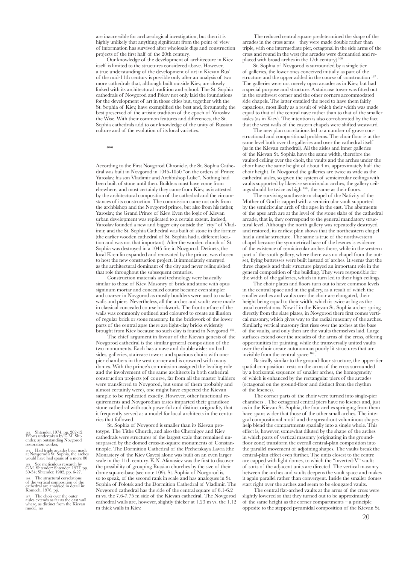are inaccessible for archaeological investigation, but then it is highly unlikely that anything significant from the point of view of information has survived after wholesale digs and construction projects of the first half of the 20th century.

Our knowledge of the development of architecture in Kiev itself is limited to the structures considered above. However, a true understanding of the development of art in Kievan Rus' of the mid-11th century is possible only after an analysis of two more cathedrals that, although built outside Kiev, are closely linked with its architectural tradition and school. The St. Sophia cathedrals of Novgorod and Pskov not only laid the foundations for the development of art in those cities but, together with the St. Sophia of Kiev, have exemplified the best and, fortunately, the best preserved of the artistic tradition of the epoch of Yaroslav the Wise. With their common features and differences, the St. Sophia cathedrals add to our knowledge of the unity of Russian culture and of the evolution of its local varieties.

 $**$ 

According to the First Novgorod Chronicle, the St. Sophia Cathedral was built in Novgorod in 1045-1050 "on the orders of Prince Yaroslav, his son Vladimir and Archbishop Luke". Nothing had been built of stone until then. Builders must have come from elsewhere, and most certainly they came from Kiev, as is attested by the architectural composition of the cathedral and the circumstances of its construction. The commission came not only from the archbishop and the Novgorod prince, but also from his father, Yaroslav, the Grand Prince of Kiev. Even the logic of Kievan urban development was replicated to a certain extent. Indeed, Yaroslav founded a new and bigger city outside the "city" of Vladimir, and the St. Sophia Cathedral was built of stone in the former (the earlier wooden cathedral of St. Sophia had a different location and was not that important). After the wooden church of St. Sophia was destroyed in a 1045 fire in Novgorod, Detinets, the local Kremlin expanded and renovated by the prince, was chosen to host the new construction project. It immediately emerged as the architectural dominant of the city and never relinquished that role throughout the subsequent centuries.

Construction materials and technology were basically similar to those of Kiev. Masonry of brick and stone with opus signinum mortar and concealed course became even simpler and coarser in Novgorod as mostly boulders were used to make walls and piers. Nevertheless, all the arches and vaults were made in classical concealed course brickwork. The front surface of the walls was commonly outlined and coloured to create an illusion of regular brick or stone masonry. In the brickwork of the lower parts of the central apse there are light-clay bricks evidently brought from Kiev because no such clay is found in Novgorod <sup>165</sup>

The chief argument in favour of the Kievan genesis of the Novgorod cathedral is the similar general composition of the two monuments. Each has a nave and double aisles on both sides, galleries, staircase towers and spacious choirs with onepier chambers in the west corner and is crowned with many domes. With the prince's commission assigned the leading role and the involvement of the same architects in both cathedral construction projects (of course, far from all the master builders were transferred to Novgorod, but some of them probably and almost certainly were), one might have expected the Kievan sample to be replicated exactly. However, other functional requirements and Novgorodian tastes imparted their grandiose stone cathedral with such powerful and distinct originality that it frequently served as a model for local architects in the centuries that followed.

St. Sophia of Novgorod is smaller than its Kievan prototype. The Tithe Church, and also the Chernigov and Kiev cathedrals were structures of the largest scale that remained unsurpassed by the domed cross-in-square monuments of Constantinople. The Dormition Cathedral of the Pecherskaya Lavra (the Monastery of the Kiev Caves) alone was built on an even larger scale in the 11th century. K.N. Afanasiev was the first to discover the possibility of grouping Russian churches by the size of their dome square-base (see note 109). St. Sophia of Novgorod is, so to speak, of the second rank in scale and has analogues in St. Sophia of Polotsk and the Dormition Cathedral of Vladimir. The Novgorod cathedral has the side of the central square of 6.1-6.2 m vs. the 7.6-7.75 m side of the Kievan cathedral. The Novgorod cathedral walls are, however, slightly thicker at 1.23 m vs. the 1.12 m thick walls in Kiev.

The reduced central square predetermined the shape of the arcades in the cross arms – they were made double rather than triple, with one intermediate pier, octagonal in the side arms of the cross and round in the west (the arcades were dismantled and replaced with broad arches in the 17th century) 166

St. Sophia of Novgorod is surrounded by a single tier of galleries, the lower ones conceived initially as part of the structure and the upper added in the course of construction  $167$ . The galleries were not merely open arcades as in Kiev, but had a special purpose and structure. A staircase tower was fitted out in the southwest corner and the other corners accommodated side chapels. The latter entailed the need to have them fairly capacious, most likely as a result of which their width was made equal to that of the central nave rather than to that of the smaller aisles (as in Kiev). The intention is also corroborated by the fact that the west walls of the eastern chapels were shifted westward.

The new plan correlations led to a number of grave constructional and compositional problems. The choir floor is at the same level both over the galleries and over the cathedral itself (as in the Kievan cathedral). All the aisles and inner galleries of the Kievan St. Sophia have the same width, therefore the vaulted ceiling over the choir, the vaults and the arches under the choir have the same height of about 4 m, approximately half the choir height. In Novgorod the galleries are twice as wide as the cathedral aisles, so given the system of semicircular ceilings with vaults supported by likewise semicircular arches, the gallery ceilings should be twice as high 168 , the same as their floors.

The surviving southeastern chapel of the Nativity of the Mother of God is capped with a semicircular vault supported by the semicircular arch of the apse in the east. The abutments of the apse arch are at the level of the stone slabs of the cathedral arcade, that is, they correspond to the general mandatory structural level. Although the north gallery was repeatedly destroyed and restored, its earliest plan shows that the northeastern chapel had a similar structure. The same is true of the northwestern chapel because the symmetrical base of the lesenes is evidence of the existence of semicircular arches there, while in the western part of the south gallery, where there was no chapel from the outset, flying buttresses were built instead of arches. It seems that the three chapels and their structure played an important role in the general composition of the building. They were responsible for the width of the galleries, which in turn led to their high ceilings.

The choir plates and floors turn out to have common levels in the central space and in the gallery, as a result of which the smaller arches and vaults over the choir are elongated, their height being equal to their width, which is twice as big as the usual correlations. Now if in the Kievan St. Sophia arches spring directly from the slate plates, in Novgorod there first comes vertical masonry, which gives way to the radial masonry of the arches. Similarly, vertical masonry first rises over the arches at the base of the vaults, and only then are the vaults themselves laid. Large surfaces extend over the arcades of the arms of the cross, offering opportunities for painting, while the transversally united vaults over the choir create autonomous poorly lit structures that are invisible from the central space  $169$ 

Basically similar to the ground-floor structure, the upper-tier spatial composition rests on the arms of the cross surrounded by a horizontal sequence of smaller arches, the homogeneity of which is enhanced by the rectangular piers of the arcades (octagonal on the ground-floor and distinct from the rhythm of the lesenes).

The corner parts of the choir were turned into single-pier chambers . The octagonal central piers have no lesenes and, just as in the Kievan St. Sophia, the four arches springing from them have spans wider that those of the other small arches. The integral compositional motif and the spread-out voluminous shapes help blend the compartments spatially into a single whole. This effect is, however, somewhat diluted by the shape of the arches in which parts of vertical masonry (originating in the groundfloor zone) transform the overall central-plan composition into the parallel movement of adjoining shapes. The vaults break the central-plan effect even further. The units closest to the centre are capped with light domes, to which the "inverted-V" vaults of sorts of the adjacent units are directed. The vertical masonry between the arches and vaults deepens the vault space and makes it again parallel rather than convergent. Inside the smaller domes start right over the arches and seem to be elongated vaults.

The central flat-arched vaults at the arms of the cross were slightly lowered so that they turned out to be approximately of the same height as the corner compartments – a principle opposite to the stepped pyramidal composition of the Kievan St.

163. Shtender, 1974, pp. 202-12. Efforts undertaken by G.M. Sht- ender, an outstanding Novgorod restoration worker,

164. Had triple arcades been made at Novgorod's St. Sophia, the arches would have had spans of a mere 80

165. See meticulous research by G.M. Shtender: Shtender, 1977, pp. 30-54; Shtender, 1982, pp. 6-27. 166. The structural correlations of the vertical composition of the cathedral are analysed in detail in: Komech, 1976, pp.

167. The choir over the outer aisles extends as far as the east wall where, as distinct from the Kievan model, no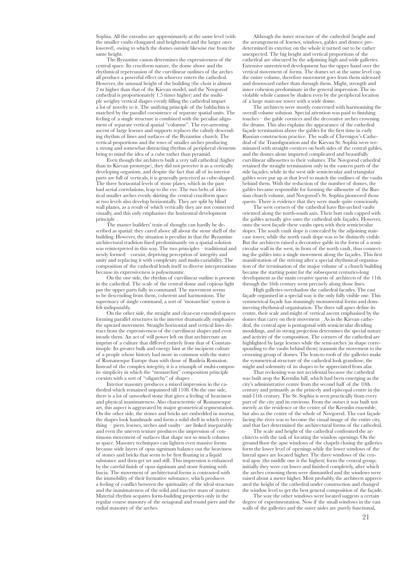Sophia. All the extrados are approximately at the same level (with the smaller vaults elongated and heightened and the larger ones lowered), owing to which the domes outside likewise rise from the same height.

The Byzantine canon determines the expressiveness of the central space. Its cruciform nature, the dome above and the rhythmical repercussion of the curvilinear outlines of the arches all produce a powerful effect on whoever enters the cathedral. However, the unusual height of the building (the choir is almost 2 m higher than that of the Kievan model, and the Novgorod cathedral is proportionately 1.5 times higher) and the multiple weighty vertical shapes evenly filling the cathedral impart a lot of novelty to it. The unifying principle of the baldachin is matched by the parallel coexistence of separate spatial units. The feeling of a single structure is combined with the peculiar alignment of separate vertical spatial "columns". The eye-arresting ascent of large lesenes and supports replaces the calmly descending rhythm of lines and surfaces of the Byzantine church. The vertical proportions and the rows of smaller arches producing a strong and somewhat distracting rhythm of peripheral elements bring to mind the idea of a cube rather than pyramid.

Even though the architects built a very tall cathedral (higher than its Kievan prototype), they did not perceive it as a vertically developing organism, and despite the fact that all of its interior parts are full of verticals, it is generally perceived as cube-shaped. The three horizontal levels of stone plates, which in the past had aerial correlations, leap to the eye. The two belts of identical smaller arches evenly skirting the central cruciform space at two levels also develop horizontally. They are split by blind wall planes, as a result of which vertically they are not connected visually, and this only emphasises the horizontal development principle .

The master builders' train of thought can hardly be described as spatial: they cared above all about the stone shell of the building. However, the situation is peculiar in that the Byzantine architectural tradition fixed predominantly on a spatial solution was reinterpreted in this way. The two principles – traditional and newly formed – coexist, depriving perception of integrity and unity and replacing it with complexity and multi-variability. The composition of the cathedral lends itself to diverse interpretations because its expressiveness is polysemantic.

On the one side, the rhythm of curvilinear outline is present in the cathedral. The scale of the central dome and copious light put the upper parts fully in command. The movement seems to be descending from them, coherent and harmonious. The supremacy of single command, a sort of 'monarchist' system is felt indisputably.

On the other side, the straight and clear-cut extended spaces forming parallel structures in the interior dramatically emphasise the upward movement. Straight horizontal and vertical lines detract from the expressiveness of the curvilinear shapes and even invade them. An act of will power left on that architecture an imprint of a culture that differed entirely from that of Constantinople. Its greater bulk and energy hint at the incipient culture of a people whose history had more in common with the states of Romanesque Europe than with those of Basileía Romaíon. Instead of the complex integrity, it is a triumph of multi-composite simplicity in which the "monarchist" composition principle coexists with a sort of "oligarchy" of shapes .

Interior masonry produces a mixed impression in the cathedral which remained unpainted till 1108. On the one side, there is a lot of unworked stone that gives a feeling of heaviness and physical inanimateness. Also characteristic of Romanesque art, this aspect is aggravated by major geometrical segmentation. On the other side, the stones and bricks are embedded in mortar, the shapes look handmade and form a solid shell in which everything – piers, lesenes, arches and vaults – are linked inseparably and even the uneven texture produces the impression of continuous movement of surfaces that shape not so much volumes as space. Masonry techniques can lighten even massive forms because wide layers of opus signinum balance out the heaviness of stones and bricks that seem to be first floating in a liquid substance and then get set and still. This impression is enhanced by the careful finish of opus signinum and stone framing with fascia. The movement of architectural forms is contrasted with the immobility of their formative substance, which produces a feeling of conflict between the spirituality of the ideal structure and the inanimateness of the solid and inactive mass of matter. Material rhythm acquires form-building properties only in the regular course masonry of the octagonal and round piers and the radial masonry of the arches.

Although the inner structure of the cathedral (height and the arrangement of lesenes, windows, gables and domes) predetermined its exterior, on the whole it turned out to be rather unexpected. The big height and vertical proportions of the cathedral are obscured by the adjoining high and wide galleries. Extensive unrestricted development has the upper hand over the vertical movement of forms. The domes set at the same level cap the entire volume, therefore movement goes from them sideward and downward rather than through them. Might, strength and inner cohesion predominate in the general impression. The inviolable whole cannot be shaken even by the peripheral location of a large staircase tower with a wide dome.

The architects were mostly concerned with harmonising the overall volume solution. Special attention was paid to finishing touches – the gable cornices and the decorative arches crowning the drums. This also explains the appearance of the cathedral façade termination above the gables for the first time in early Russian construction practice. The walls of Chernigov's Cathedral of the Transfiguration and the Kievan St. Sophia were terminated with straight cornices on both sides of the central gables, and the domes alone imparted complicated and beautifully curvilinear silhouettes to their volumes. The Novgorod cathedral retained the straight termination only in the eastern parts of the side façades, while in the west side semicircular and triangular gables were put up at that level to match the outlines of the vaults behind them. With the reduction of the number of domes, the gables became responsible for forming the silhouette of the Russian church volume, and Novgorod's St. Sophia pioneered those quests. There is evidence that they were made quite consciously.

The west corners of the cathedral have flat-arched vaults oriented along the north-south axis. Their butt ends capped with the gables actually give onto the cathedral side façades. However, onto the west façade these vaults open with their semicircular slopes. The south vault slope is concealed by the adjoining staircase tower, while the north vault slope was to be distinctly visible. But the architects raised a decorative gable in the form of a semicircular wall in the west, in front of the north vault, thus connecting the gables into a single movement along the façades. This first manifestation of the striving after a special rhythmical organisation of the termination of the major volume of a church building became the starting point for the subsequent centuries-long development as the main creative quests of architects of the 11th through the 16th century went precisely along those lines.

High galleries overshadow the cathedral facades. The east façade organised in a special way is the only fully visible one. This symmetrical façade has stunningly monumental forms and domineering rhythmical organisation. The three tall apses define its centre, their scale and might of vertical ascent emphasised by the domes that carry on their movement . As in the Kievan cathedral, the central apse is pentagonal with semicircular dividing mouldings, and its strong projection determines the special nature and activity of the composition. The corners of the cathedral are highlighted by large lesenes while the semi-arches (in shape corresponding to the vaults behind them) transmit the movement to the crowning group of domes. The lean-to roofs of the galleries make the symmetrical structure of the cathedral look grandiose, the might and solemnity of its shapes to be appreciated from afar.

That reckoning was not accidental because the cathedral was built atop the Kremlin hill, which had been emerging as the city's administrative centre from the second half of the 10th century and primarily as the princely and episcopal centre in the mid-11th century. The St. Sophia is seen practically from every part of the city and its environs. From the outset it was built not merely as the residence or the centre of the Kremlin ensemble, but also as the centre of the whole of Novgorod. The east façade facing the river was to become the visual image of the entire city, and that fact determined the architectural forms of the cathedral.

The scale and height of the cathedral confronted the architects with the task of locating the window openings. On the ground floor the apse windows of the chapels closing the galleries form the lower level of openings while the lower windows of the lateral apses are located higher. The three windows of the central apse (the middle one is the highest) form the central group; initially they were cut lower and finished completely, after which the arches crowning them were dismantled and the windows were raised about a meter higher. Most probably, the architects appreciated the height of the cathedral under construction and changed the window level to get the best general composition of the façade.

The way the other windows were located suggests a certain degree of experimentation. Now if the small windows in the east walls of the galleries and the outer aisles are purely functional,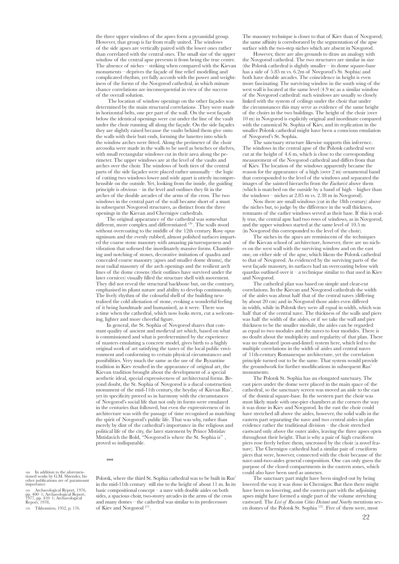the three upper windows of the apses form a pyramidal group. However, that group is far from really united. The windows of the side apses are vertically paired with the lower ones rather than correlated with the central ones. The small size of the upper window of the central apse prevents it from being the true centre. The absence of niches – striking when compared with the Kievan monuments – deprives the façade of fine relief modelling and complicated rhythm, yet fully accords with the power and weightiness of the forms of the Novgorod cathedral, in which minute chance correlations are inconsequential in view of the success of the overall solution.

 The location of window openings on the other façades was determined by the main structural correlations .They were made in horizontal belts, one per part of the wall. On the west façade below the identical openings were cut under the line of the vault under the choir running all along the façade. On the side façades they are slightly raised because the vaults behind them give onto the walls with their butt ends, forming the lunettes into which the window arches were fitted. Along the perimeter of the choir arcosolia were made in the walls to be used as benches or shelves, with small rectangular windows cut in their area along the perimeter. The upper windows are at the level of the vaults and arches over the choir. The windows of both tiers of the central parts of the side façades were placed rather unusually – the logic of cutting two windows lower and wide apart is utterly incomprehensible on the outside. Yet, looking from the inside, the guiding principle is obvious – in the level and outlines they fit in the arches of the double arcades of the arms of the cross. The two windows in the central part of the wall became short of a must in subsequent Novgorod structures, as distinct from the three openings in the Kievan and Chernigov cathedrals.

The original appearance of the cathedral was somewhat different, more complex and differentiated <sup>170</sup>. The walls stood without overcoating to the middle of the 12th century. Rosy opus signinum and the evenly rubbed, almost polished surfaces imparted the coarse stone masonry with amazing picturesqueness and vibration that softened the inordinately massive forms. Chamfering and notching of stones, decorative imitation of quadra and concealed course masonry (apses and smaller dome drums), the neat radial masonry of the arch openings and the resilient arch lines of the dome crowns (their outlines have survived under the later cornices) visually filled the structure shell with movement. They did not reveal the structural backbone but, on the contrary, emphasised its pliant nature and ability to develop continuously. The lively rhythm of the colourful shell of the building neutralised the cold alienation of stone, evoking a wonderful feeling of it being handmade and humanised, as it were. There was a time when the cathedral, which now looks stern, cut a welcoming, lighter and more cheerful figure.

In general, the St. Sophia of Novgorod shares that constant quality of ancient and medieval art which, based on what is commissioned and what is predetermined by the experience of masters emulating a concrete model, gives birth to a highly original work of art satisfying the tastes of the local public environment and conforming to certain physical circumstances and possibilities. Very much the same as the use of the Byzantine tradition in Kiev resulted in the appearance of original art, the Kievan tradition brought about the development of a special aesthetic ideal, special expressiveness of architectural forms. Beyond doubt, the St. Sophia of Novgorod is a ducal construction monument of the mid-11th century, the heyday of Kievan Rus', yet its specificity proved so in harmony with the circumstances of Novgorod's social life that not only its forms were emulated in the centuries that followed, but even the expressiveness of its architecture was with the passage of time recognised as matching the spirit of Novgorod's public life. That was why, rather than merely by dint of the cathedral's importance in the religious and political life of the city, the later statement by Prince Mstislav Mstislavich the Bold, "Novgorod is where the St. Sophia is" , proved so indisputable.

\*\*\*

168. In addition to the aforemen- tioned works by G.M. Shtender, his other publications are of paramount importance

169. Archaeological Report, 1976, pp. 400–1; Archaeological Report, 1977, pp. 410–1; Archaeological Report, 1978,

170. Tikhomirov, 1952, p. 176.

Polotsk, where the third St. Sophia cathedral was to be built in Rus' in the mid-11th century still rise to the height of about 11 m. In its basic compositional concept – a nave with double aisles on both sides, a spacious choir, two-storey arcades in the arms of the cross and many domes – the cathedral was similar to its predecessors of Kiev and Novgorod 171 .

The masonry technique is closer to that of Kiev than of Novgorod; the same affinity is corroborated by the segmentation of the apse surface with the two-step niches which are absent in Novgorod.

However, there are also grounds to draw an analogy with the Novgorod cathedral. The two structures are similar in size (the Polotsk cathedral is slightly smaller – its dome square-base has a side of 5.85 m vs. 6.2m of Novgorod's St. Sophia) and both have double arcades. The coincidence in height is even more fascinating. The surviving window in the south wing of the west wall is located at the same level (4.9 m) as a similar window of the Novgorod cathedral: such windows are usually so closely linked with the system of ceilings under the choir that under the circumstances this may serve as evidence of the same height of the choirs in the two buildings. The height of the choir (over 10 m) in Novgorod is explicitly original and inordinate compared with the canonical St. Sophia of Kiev, and its replication in the smaller Polotsk cathedral might have been a conscious emulation of Novgorod's St. Sophia.

The sanctuary structure likewise supports this inference. The windows in the central apse of the Polotsk cathedral were cut at the height of 4.6 m, which is close to the corresponding measurement of the Novgorod cathedral and differs from that of Kiev. The location of the windows apparently became the reason for the appearance of a high (over 2 m) ornamental band that corresponded to the level of the windows and separated the images of the sainted hierarchs from the *Eucharist* above them (which is matched on the outside by a band of high – higher than the windows – niches at 2.85 m vs. 2.38 m in Novgorod).

Now there are small windows (cut in the 18th century) above the niches but, to judge by the difference in the wall thickness, remnants of the earlier windows served as their base. If this is really true, the central apse had two rows of windows, as in Novgorod, and the upper windows started at the same level of 10.5 m (in Novgorod this corresponded to the level of the choir).

The niches in the apses are reminiscent of the techniques of the Kievan school of architecture, however, there are no niches on the west wall with the surviving window and on the east one, on either side of the apse, which likens the Polotsk cathedral to that of Novgorod. As evidenced by the surviving parts of the west façade masonry, its surfaces had an overcoating below with quardas outlined over it – a technique similar to that used in Kiev and Novgorod.

The cathedral plan was based on simple and clear-cut correlations. In the Kievan and Novgorod cathedrals the width of the aisles was about half that of the central naves (differing by about 20 cm) and in Novgorod those aisles even differed in width, while in Polotsk they were all equal in width, which was half that of the central nave. The thickness of the walls and piers was half the width of the aisles, or if we take the wall and pier thickness to be the smaller module, the aisles can be regarded as equal to two modules and the naves to four modules. There is no doubt about the multiplicity and regularity of that plan. There was no trabeated (post-and-lintel) system here, which led to the multiple correlations in the width of aisles and central naves of 11th-century Romanesque architecture, yet the correlation principle turned out to be the same. That system would provide the groundwork for further modifications in subsequent Rus' monuments.

The Polotsk St. Sophia has an elongated sanctuary. The east piers under the dome were placed in the main space of the cathedral, so the sanctuary screen was moved an aisle to the east of the domical square-base. In the western part the choir was most likely made with one-pier chambers at the corners the way it was done in Kiev and Novgorod. In the east the choir could have stretched all above the aisles, however, the solid walls in the eastern part separating the nave and two central aisles in plan evidence rather the traditional division – the choir stretched eastward only above the outer aisles, leaving the three apses open throughout their height. That is why a pair of high cruciform piers rose freely before them, uncrossed by the choir (a novel feature). The Chernigov cathedral had a similar pair of cruciform piers that were, however, connected with the choir because of the nave-and-two-aisles general composition. One can only guess the purpose of the closed compartments in the eastern zones, which could also have been used as annexes.

The sanctuary part might have been singled out by being lowered the way it was done in Chernigov. But then there might have been no lowering, and the eastern part with the adjoining apses might have formed a single part of the volume stretching eastward. The *List of Russian Cities Distant and Nearby* mentions seven domes of the Polotsk St. Sophia 172 . Five of them were, most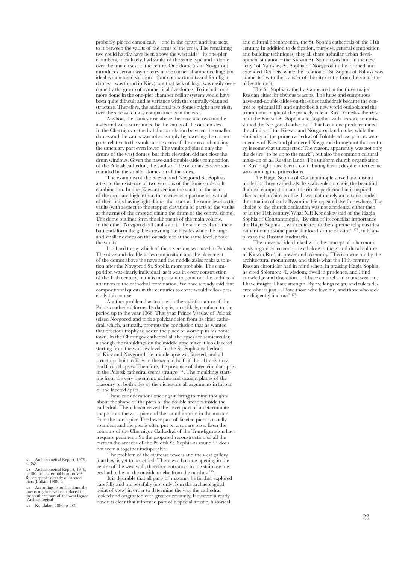probably, placed canonically – one in the centre and four next to it between the vaults of the arms of the cross. The remaining two could hardly have been above the west aisle – its one-pier chambers, most likely, had vaults of the same type and a dome over the unit closest to the centre. One dome (as in Novgorod) introduces certain asymmetry in the corner chamber ceilings (an ideal symmetrical solution – four compartments and four light domes – was found in Kiev), but that lack of logic was easily overcome by the group of symmetrical five domes. To include one more dome in the one-pier chamber ceiling system would have been quite difficult and at variance with the centrally-planned structure. Therefore, the additional two domes might have risen over the side sanctuary compartments in the east.

Anyhow, the domes rose above the nave and two middle aisles and were surrounded by the vaults of the outer aisles. In the Chernigov cathedral the correlation between the smaller domes and the vaults was solved simply by lowering the corner parts relative to the vaults at the arms of the cross and making the sanctuary part even lower. The vaults adjoined only the drums of the west domes, but their elevation did not close the drum windows. Given the nave-and-double-aisles composition of the Polotsk cathedral, the vaults of the outer aisles were surrounded by the smaller domes on all the sides.

The examples of the Kievan and Novgorod St. Sophias attest to the existence of two versions of the dome-and-vault combination. In one (Kievan) version the vaults of the arms of the cross are higher than the corner compartments, with all of their units having light domes that start at the same level as the vaults (with respect to the stepped elevation of parts of the vaults at the arms of the cross adjoining the drum of the central dome). The dome outlines form the silhouette of the main volume. In the other (Novgorod) all vaults are at the same level and their butt ends form the gable crowning the façades while the large and smaller domes on the outside rise at the same level, above the vaults.

It is hard to say which of these versions was used in Polotsk. The nave-and-double-aisles composition and the placement of the domes above the nave and the middle aisles make a solution after the Novgorod St. Sophia more probable. The composition was clearly individual, as it was in every construction of the 11th century, but it is important to point out the architects' attention to the cathedral termination. We have already said that compositional quests in the centuries to come would follow precisely this course.

Another problem has to do with the stylistic nature of the Polotsk cathedral forms. Its dating is, most likely, confined to the period up to the year 1066. That year Prince Vseslav of Polotsk seized Novgorod and took a polykandelon from its chief cathedral, which, naturally, prompts the conclusion that he wanted that precious trophy to adorn the place of worship in his home town. In the Chernigov cathedral all the apses are semicircular, although the mouldings on the middle apse make it look faceted starting from the window level. In the St. Sophia cathedrals of Kiev and Novgorod the middle apse was faceted, and all structures built in Kiev in the second half of the 11th century had faceted apses. Therefore, the presence of three circular apses in the Polotsk cathedral seems strange 173 . The mouldings starting from the very basement, niches and straight planes of the masonry on both sides of the niches are all arguments in favour of the faceted apses.

These considerations once again bring to mind thoughts about the shape of the piers of the double arcades inside the cathedral. There has survived the lower part of indeterminate shape from the west pier and the round imprint in the mortar from the north pier. The lower part of faceted piers is usually rounded, and the pier is often put on a square base. Even the columns of the Chernigov Cathedral of the Transfiguration have a square pediment. So the proposed reconstruction of all the piers in the arcades of the Polotsk St. Sophia as round 174 does not seem altogether indisputable.

The problem of the staircase towers and the west gallery (narthex) is yet to be settled. There was but one opening in the centre of the west wall, therefore entrances to the staircase towers had to be on the outside or else from the narthex 175 .

It is desirable that all parts of masonry be further explored carefully and purposefully (not only from the archaeological point of view) in order to determine the way the cathedral looked and originated with greater certainty. However, already now it is clear that it formed part of a special artistic, historical

and cultural phenomenon, the St. Sophia cathedrals of the 11th century. In addition to dedication, purpose, general composition and building techniques, they all share a similar urban development situation – the Kievan St. Sophia was built in the new "city" of Yaroslav, St. Sophia of Novgorod in the fortified and extended Detinets, while the location of St. Sophia of Polotsk was connected with the transfer of the city centre from the site of the old settlement.

The St. Sophia cathedrals appeared in the three major Russian cities for obvious reasons. The huge and sumptuous nave-and-double-aisles-on-the-sides cathedrals became the centres of spiritual life and embodied a new world outlook and the triumphant might of the princely rule in Rus'. Yaroslav the Wise built the Kievan St. Sophia and, together with his son, commissioned the Novgorod cathedral. That fact alone predetermined the affinity of the Kievan and Novgorod landmarks, while the similarity of the prime cathedral of Polotsk, whose princes were enemies of Kiev and plundered Novgorod throughout that century, is somewhat unexpected. The reason, apparently, was not only the desire "to be up to the mark", but also the common cultural make-up of all Russian lands. The uniform church organisation in Rus' might have been a contributing factor, despite internecine wars among the princedoms.

The Hagia Sophia of Constantinople served as a distant model for those cathedrals. Its scale, solemn choir, the beautiful domical composition and the rituals performed in it inspired clients and architects alike. It was not merely an outside model: the situation of early Byzantine life repeated itself elsewhere. The choice of the church dedication was not accidental either then or in the 11th century. What N.P. Kondakov said of the Hagia Sophia of Constantinople, "By dint of its conciliar importance the Hagia Sophia… was dedicated to the supreme religious idea rather than to some particular local shrine or saint" <sup>176</sup>, fully applies to the Russian landmarks.

The universal idea linked with the concept of a harmoniously organised cosmos proved close to the grand-ducal culture of Kievan Rus', its power and solemnity. This is borne out by the architectural monuments, and this is what the 11th-century Russian chronicler had in mind when, in praising Hagia Sophia, he cited Solomon: "I, wisdom, dwell in prudence, and I find knowledge and discretion. …I have counsel and sound wisdom, I have insight, I have strength. By me kings reign, and rulers decree what is just… I love those who love me, and those who seek me diligently find me" 177.

171. Archaeological Report, 1979, p. 358.

172. Archaeological Report, 1976, p. 400. In a later publication V.A. Bulkin speaks already of faceted piers (Bulkin, 1988, p.

173. According to publications, the towers might have been placed in the southern part of the west façade [Archaeological

174. Kondakov, 1886, p. 109.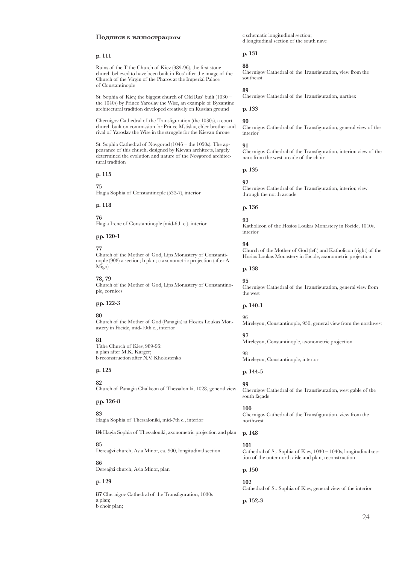#### **Подписи к иллюстрациям**

#### **p. 111**

Ruins of the Tithe Church of Kiev (989-96), the first stone church believed to have been built in Rus' after the image of the Church of the Virgin of the Pharos at the Imperial Palace of Constantinople

St. Sophia of Kiev, the biggest church of Old Rus' built (1030 – the 1040s) by Prince Yaroslav the Wise, an example of Byzantine architectural tradition developed creatively on Russian ground

Chernigov Cathedral of the Transfiguration (the 1030s), a court church built on commission for Prince Mstislav, elder brother and rival of Yaroslav the Wise in the struggle for the Kievan throne

St. Sophia Cathedral of Novgorod (1045 – the 1050s). The appearance of this church, designed by Kievan architects, largely determined the evolution and nature of the Novgorod architectural tradition

## **p. 115**

**75** Hagia Sophia of Constantinople (532-7), interior

#### **p. 118**

**76**

Hagia Irene of Constantinople (mid-6th c.), interior

#### **pp. 120-1**

#### **77**

Church of the Mother of God, Lips Monastery of Constantinople (908) a section; b plan; c axonometric projection (after A. Migo)

## **78, 79**

Church of the Mother of God, Lips Monastery of Constantinople, cornices

#### **pp. 122-3**

#### **80**

Church of the Mother of God (Panagia) at Hosios Loukas Monastery in Focide, mid-10th c., interior

#### **81**

Tithe Church of Kiev, 989-96: a plan after M.K. Karger; b reconstruction after N.V. Kholostenko

## **p. 125**

**82** Church of Panagia Chalkeon of Thessaloniki, 1028, general view

#### **pp. 126-8**

**83**

Hagia Sophia of Thessaloniki, mid-7th c., interior

**84** Hagia Sophia of Thessaloniki, axonometric projection and plan

#### **85**

Dereağzi church, Asia Minor, ca. 900, longitudinal section

#### **86**

Dereağzi church, Asia Minor, plan

## **p. 129**

**87** Chernigov Cathedral of the Transfiguration, 1030s a plan; b choir plan;

c schematic longitudinal section; d longitudinal section of the south nave

#### **p. 131**

#### **88**

Chernigov Cathedral of the Transfiguration, view from the southeast

## **89**

Chernigov Cathedral of the Transfiguration, narthex

**p. 133**

## **90**

Chernigov Cathedral of the Transfiguration, general view of the interior

## **91**

Chernigov Cathedral of the Transfiguration, interior, view of the naos from the west arcade of the choir

#### **p. 135**

**92**

Chernigov Cathedral of the Transfiguration, interior, view through the north arcade

#### **p. 136**

#### **93**

Katholicon of the Hosios Loukas Monastery in Focide, 1040s, interior

#### **94**

Church of the Mother of God (left) and Katholicon (right) of the Hosios Loukas Monastery in Focide, axonometric projection

## **p. 138**

**95** Chernigov Cathedral of the Transfiguration, general view from the west

#### **p. 140-1**

Mireleyon, Constantinople, 930, general view from the northwest

#### **97**

98

96

Mireleyon, Constantinople, axonometric projection

Mireleyon, Constantinople, interior

## **p. 144-5**

**99**

Chernigov Cathedral of the Transfiguration, west gable of the south façade

#### **100**

Chernigov Cathedral of the Transfiguration, view from the northwest

#### **p. 148**

#### **101**

Cathedral of St. Sophia of Kiev, 1030 – 1040s, longitudinal section of the outer north aisle and plan, reconstruction

## **p. 150**

**102**

Cathedral of St. Sophia of Kiev, general view of the interior

**p. 152-3**